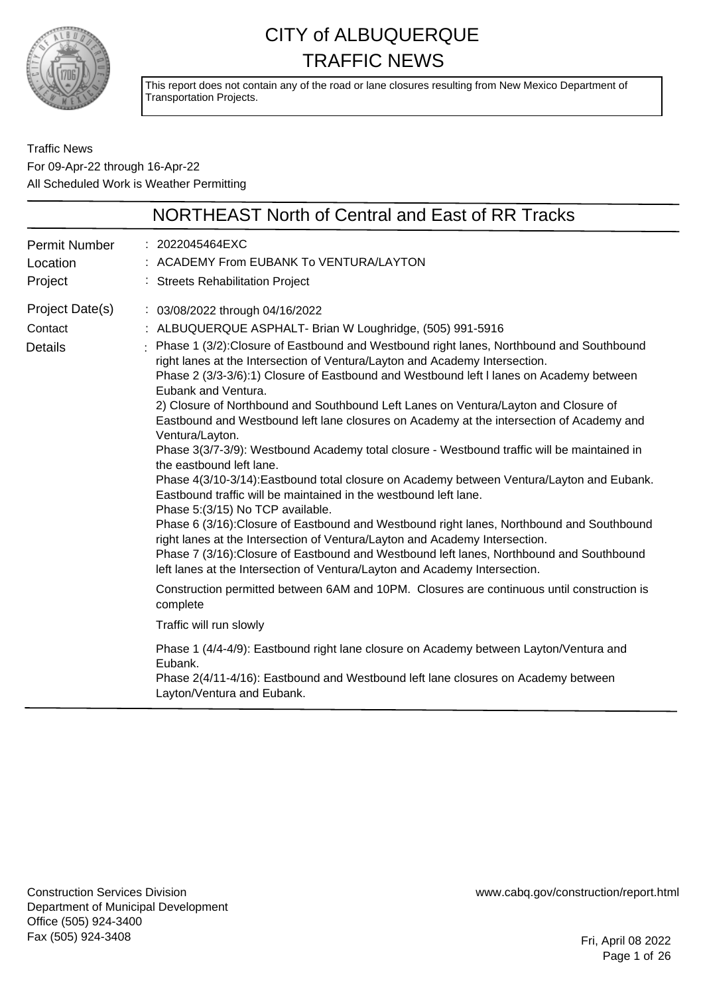

This report does not contain any of the road or lane closures resulting from New Mexico Department of Transportation Projects.

Traffic News For 09-Apr-22 through 16-Apr-22 All Scheduled Work is Weather Permitting

|                                              | NORTHEAST North of Central and East of RR Tracks                                                                                                                                                                                                                                                                                                                                                                                                                                                                                                                                                                                                                                                                                                                                                                                                                                                                                                                                                                                                                                                                                                                                                                                                                                                                                                                                                                             |
|----------------------------------------------|------------------------------------------------------------------------------------------------------------------------------------------------------------------------------------------------------------------------------------------------------------------------------------------------------------------------------------------------------------------------------------------------------------------------------------------------------------------------------------------------------------------------------------------------------------------------------------------------------------------------------------------------------------------------------------------------------------------------------------------------------------------------------------------------------------------------------------------------------------------------------------------------------------------------------------------------------------------------------------------------------------------------------------------------------------------------------------------------------------------------------------------------------------------------------------------------------------------------------------------------------------------------------------------------------------------------------------------------------------------------------------------------------------------------------|
| Permit Number<br>Location<br>Project         | : 2022045464EXC<br>: ACADEMY From EUBANK To VENTURA/LAYTON<br>: Streets Rehabilitation Project                                                                                                                                                                                                                                                                                                                                                                                                                                                                                                                                                                                                                                                                                                                                                                                                                                                                                                                                                                                                                                                                                                                                                                                                                                                                                                                               |
| Project Date(s)<br>Contact<br><b>Details</b> | : 03/08/2022 through 04/16/2022<br>: ALBUQUERQUE ASPHALT- Brian W Loughridge, (505) 991-5916<br>: Phase 1 (3/2): Closure of Eastbound and Westbound right lanes, Northbound and Southbound<br>right lanes at the Intersection of Ventura/Layton and Academy Intersection.<br>Phase 2 (3/3-3/6):1) Closure of Eastbound and Westbound left I lanes on Academy between<br>Eubank and Ventura.<br>2) Closure of Northbound and Southbound Left Lanes on Ventura/Layton and Closure of<br>Eastbound and Westbound left lane closures on Academy at the intersection of Academy and<br>Ventura/Layton.<br>Phase 3(3/7-3/9): Westbound Academy total closure - Westbound traffic will be maintained in<br>the eastbound left lane.<br>Phase 4(3/10-3/14): Eastbound total closure on Academy between Ventura/Layton and Eubank.<br>Eastbound traffic will be maintained in the westbound left lane.<br>Phase 5:(3/15) No TCP available.<br>Phase 6 (3/16): Closure of Eastbound and Westbound right lanes, Northbound and Southbound<br>right lanes at the Intersection of Ventura/Layton and Academy Intersection.<br>Phase 7 (3/16): Closure of Eastbound and Westbound left lanes, Northbound and Southbound<br>left lanes at the Intersection of Ventura/Layton and Academy Intersection.<br>Construction permitted between 6AM and 10PM. Closures are continuous until construction is<br>complete<br>Traffic will run slowly |
|                                              | Phase 1 (4/4-4/9): Eastbound right lane closure on Academy between Layton/Ventura and<br>Eubank.<br>Phase 2(4/11-4/16): Eastbound and Westbound left lane closures on Academy between<br>Layton/Ventura and Eubank.                                                                                                                                                                                                                                                                                                                                                                                                                                                                                                                                                                                                                                                                                                                                                                                                                                                                                                                                                                                                                                                                                                                                                                                                          |

Construction Services Division Department of Municipal Development Office (505) 924-3400 Fax (505) 924-3408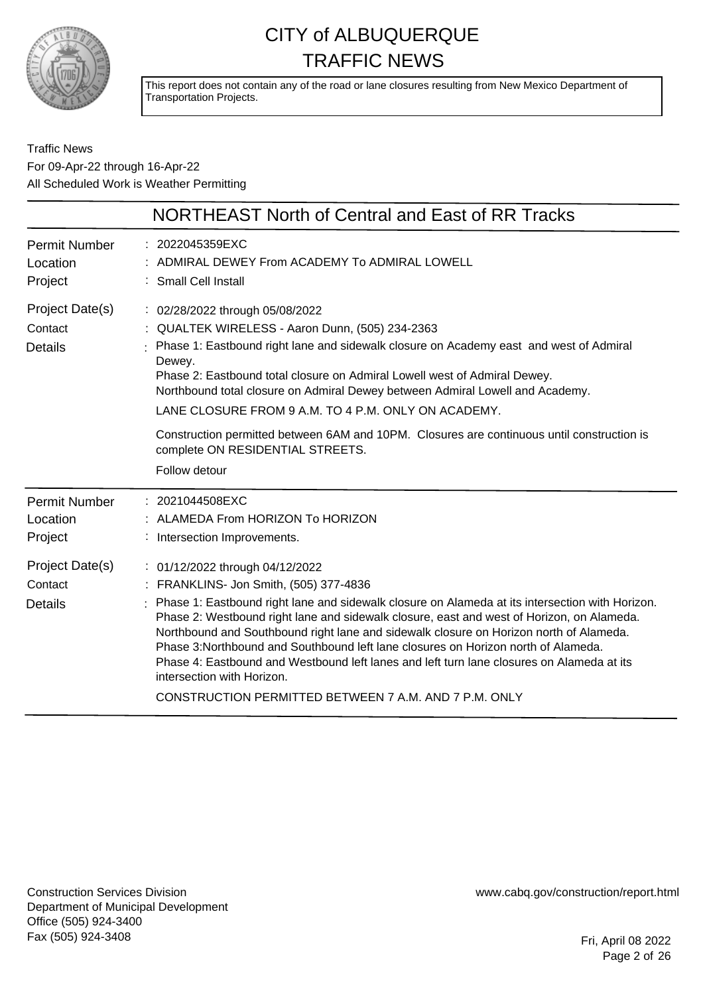

This report does not contain any of the road or lane closures resulting from New Mexico Department of Transportation Projects.

Traffic News For 09-Apr-22 through 16-Apr-22 All Scheduled Work is Weather Permitting

|                                              | NORTHEAST North of Central and East of RR Tracks                                                                                                                                                                                                                                                                                                                                                                                                                                                                                                                                                                                                |
|----------------------------------------------|-------------------------------------------------------------------------------------------------------------------------------------------------------------------------------------------------------------------------------------------------------------------------------------------------------------------------------------------------------------------------------------------------------------------------------------------------------------------------------------------------------------------------------------------------------------------------------------------------------------------------------------------------|
| <b>Permit Number</b><br>Location<br>Project  | : 2022045359EXC<br>ADMIRAL DEWEY From ACADEMY To ADMIRAL LOWELL<br>: Small Cell Install                                                                                                                                                                                                                                                                                                                                                                                                                                                                                                                                                         |
| Project Date(s)<br>Contact<br><b>Details</b> | : 02/28/2022 through 05/08/2022<br>: QUALTEK WIRELESS - Aaron Dunn, (505) 234-2363<br>Phase 1: Eastbound right lane and sidewalk closure on Academy east and west of Admiral<br>Dewey.<br>Phase 2: Eastbound total closure on Admiral Lowell west of Admiral Dewey.<br>Northbound total closure on Admiral Dewey between Admiral Lowell and Academy.<br>LANE CLOSURE FROM 9 A.M. TO 4 P.M. ONLY ON ACADEMY.<br>Construction permitted between 6AM and 10PM. Closures are continuous until construction is<br>complete ON RESIDENTIAL STREETS.<br>Follow detour                                                                                  |
| <b>Permit Number</b><br>Location<br>Project  | : 2021044508EXC<br>: ALAMEDA From HORIZON To HORIZON<br>: Intersection Improvements.                                                                                                                                                                                                                                                                                                                                                                                                                                                                                                                                                            |
| Project Date(s)<br>Contact<br><b>Details</b> | : 01/12/2022 through 04/12/2022<br>: FRANKLINS- Jon Smith, (505) 377-4836<br>: Phase 1: Eastbound right lane and sidewalk closure on Alameda at its intersection with Horizon.<br>Phase 2: Westbound right lane and sidewalk closure, east and west of Horizon, on Alameda.<br>Northbound and Southbound right lane and sidewalk closure on Horizon north of Alameda.<br>Phase 3: Northbound and Southbound left lane closures on Horizon north of Alameda.<br>Phase 4: Eastbound and Westbound left lanes and left turn lane closures on Alameda at its<br>intersection with Horizon.<br>CONSTRUCTION PERMITTED BETWEEN 7 A.M. AND 7 P.M. ONLY |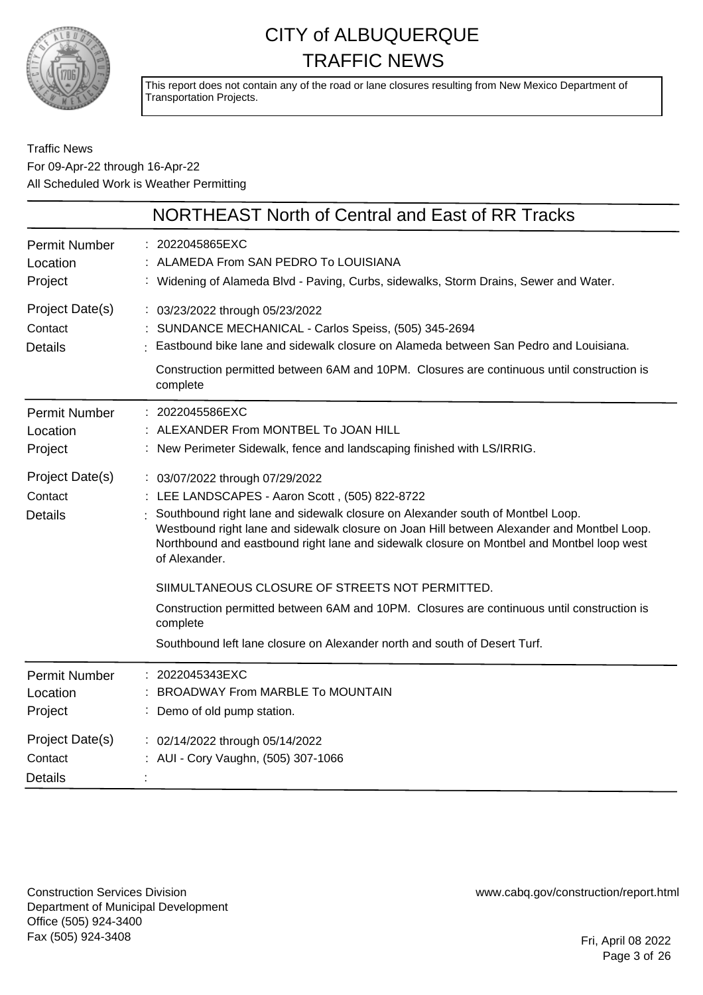

This report does not contain any of the road or lane closures resulting from New Mexico Department of Transportation Projects.

#### Traffic News For 09-Apr-22 through 16-Apr-22 All Scheduled Work is Weather Permitting

|                                              | <b>NORTHEAST North of Central and East of RR Tracks</b>                                                                                                                                                                                                                                                                                                                                                                                                                                                                                                                                                                   |
|----------------------------------------------|---------------------------------------------------------------------------------------------------------------------------------------------------------------------------------------------------------------------------------------------------------------------------------------------------------------------------------------------------------------------------------------------------------------------------------------------------------------------------------------------------------------------------------------------------------------------------------------------------------------------------|
| <b>Permit Number</b><br>Location<br>Project  | : 2022045865EXC<br>ALAMEDA From SAN PEDRO To LOUISIANA<br>: Widening of Alameda Blvd - Paving, Curbs, sidewalks, Storm Drains, Sewer and Water.                                                                                                                                                                                                                                                                                                                                                                                                                                                                           |
| Project Date(s)<br>Contact<br><b>Details</b> | : 03/23/2022 through 05/23/2022<br>: SUNDANCE MECHANICAL - Carlos Speiss, (505) 345-2694<br>Eastbound bike lane and sidewalk closure on Alameda between San Pedro and Louisiana.<br>Construction permitted between 6AM and 10PM. Closures are continuous until construction is<br>complete                                                                                                                                                                                                                                                                                                                                |
| <b>Permit Number</b><br>Location<br>Project  | : 2022045586EXC<br>: ALEXANDER From MONTBEL To JOAN HILL<br>: New Perimeter Sidewalk, fence and landscaping finished with LS/IRRIG.                                                                                                                                                                                                                                                                                                                                                                                                                                                                                       |
| Project Date(s)<br>Contact<br><b>Details</b> | : 03/07/2022 through 07/29/2022<br>: LEE LANDSCAPES - Aaron Scott, (505) 822-8722<br>Southbound right lane and sidewalk closure on Alexander south of Montbel Loop.<br>Westbound right lane and sidewalk closure on Joan Hill between Alexander and Montbel Loop.<br>Northbound and eastbound right lane and sidewalk closure on Montbel and Montbel loop west<br>of Alexander.<br>SIIMULTANEOUS CLOSURE OF STREETS NOT PERMITTED.<br>Construction permitted between 6AM and 10PM. Closures are continuous until construction is<br>complete<br>Southbound left lane closure on Alexander north and south of Desert Turf. |
| <b>Permit Number</b><br>Location<br>Project  | : 2022045343EXC<br>BROADWAY From MARBLE To MOUNTAIN<br>: Demo of old pump station.                                                                                                                                                                                                                                                                                                                                                                                                                                                                                                                                        |
| Project Date(s)<br>Contact<br><b>Details</b> | : 02/14/2022 through 05/14/2022<br>: AUI - Cory Vaughn, (505) 307-1066                                                                                                                                                                                                                                                                                                                                                                                                                                                                                                                                                    |

Construction Services Division Department of Municipal Development Office (505) 924-3400 Fax (505) 924-3408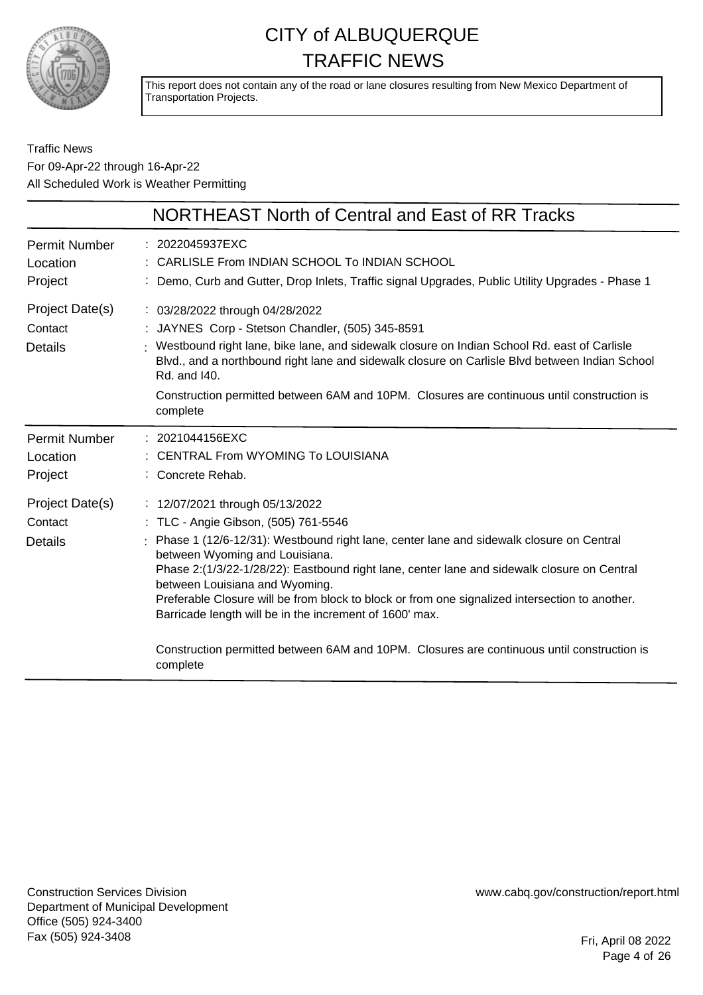

This report does not contain any of the road or lane closures resulting from New Mexico Department of Transportation Projects.

#### Traffic News For 09-Apr-22 through 16-Apr-22 All Scheduled Work is Weather Permitting

|                                              | NORTHEAST North of Central and East of RR Tracks                                                                                                                                                                                                                                                                                                                                                                                                                                                                                                                                                             |
|----------------------------------------------|--------------------------------------------------------------------------------------------------------------------------------------------------------------------------------------------------------------------------------------------------------------------------------------------------------------------------------------------------------------------------------------------------------------------------------------------------------------------------------------------------------------------------------------------------------------------------------------------------------------|
| <b>Permit Number</b><br>Location<br>Project  | : 2022045937EXC<br>: CARLISLE From INDIAN SCHOOL To INDIAN SCHOOL<br>Demo, Curb and Gutter, Drop Inlets, Traffic signal Upgrades, Public Utility Upgrades - Phase 1                                                                                                                                                                                                                                                                                                                                                                                                                                          |
| Project Date(s)<br>Contact<br><b>Details</b> | : 03/28/2022 through 04/28/2022<br>JAYNES Corp - Stetson Chandler, (505) 345-8591<br>Westbound right lane, bike lane, and sidewalk closure on Indian School Rd. east of Carlisle<br>Blvd., and a northbound right lane and sidewalk closure on Carlisle Blvd between Indian School<br>Rd. and 140.<br>Construction permitted between 6AM and 10PM. Closures are continuous until construction is<br>complete                                                                                                                                                                                                 |
| <b>Permit Number</b><br>Location<br>Project  | : 2021044156EXC<br>CENTRAL From WYOMING To LOUISIANA<br>Concrete Rehab.                                                                                                                                                                                                                                                                                                                                                                                                                                                                                                                                      |
| Project Date(s)<br>Contact<br><b>Details</b> | : 12/07/2021 through 05/13/2022<br>: TLC - Angie Gibson, (505) 761-5546<br>Phase 1 (12/6-12/31): Westbound right lane, center lane and sidewalk closure on Central<br>between Wyoming and Louisiana.<br>Phase 2:(1/3/22-1/28/22): Eastbound right lane, center lane and sidewalk closure on Central<br>between Louisiana and Wyoming.<br>Preferable Closure will be from block to block or from one signalized intersection to another.<br>Barricade length will be in the increment of 1600' max.<br>Construction permitted between 6AM and 10PM. Closures are continuous until construction is<br>complete |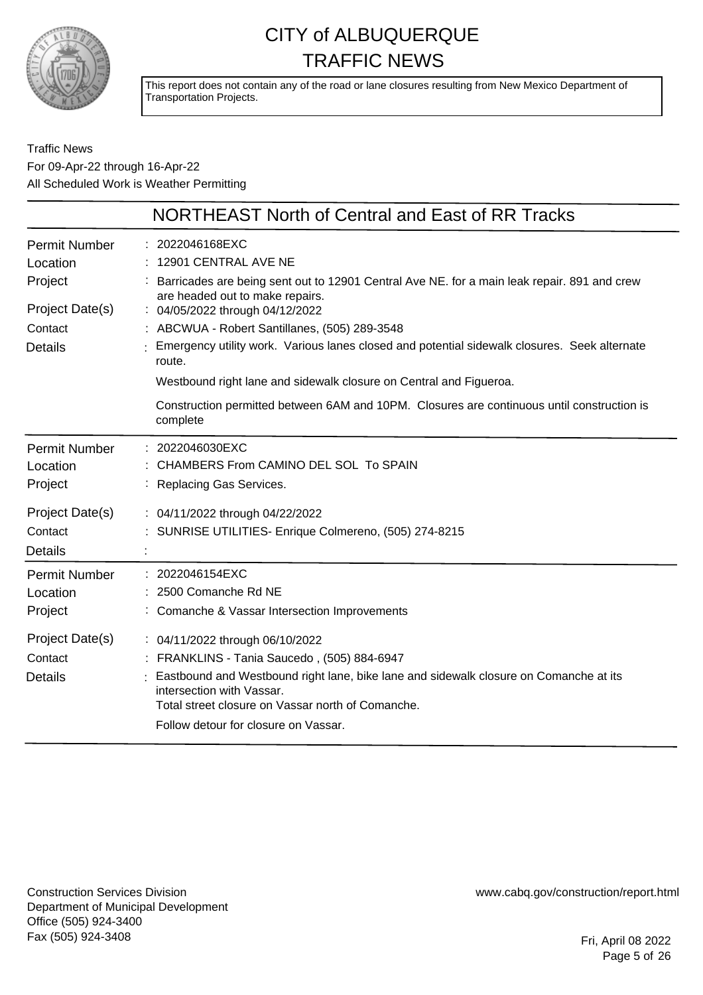

This report does not contain any of the road or lane closures resulting from New Mexico Department of Transportation Projects.

Traffic News For 09-Apr-22 through 16-Apr-22 All Scheduled Work is Weather Permitting

|                                                                                             | NORTHEAST North of Central and East of RR Tracks                                                                                                                                                                                                                                                                                                                                                                                                                                                                                            |
|---------------------------------------------------------------------------------------------|---------------------------------------------------------------------------------------------------------------------------------------------------------------------------------------------------------------------------------------------------------------------------------------------------------------------------------------------------------------------------------------------------------------------------------------------------------------------------------------------------------------------------------------------|
| <b>Permit Number</b><br>Location<br>Project<br>Project Date(s)<br>Contact<br><b>Details</b> | : 2022046168EXC<br>12901 CENTRAL AVE NE<br>Barricades are being sent out to 12901 Central Ave NE. for a main leak repair. 891 and crew<br>are headed out to make repairs.<br>: 04/05/2022 through 04/12/2022<br>: ABCWUA - Robert Santillanes, (505) 289-3548<br>Emergency utility work. Various lanes closed and potential sidewalk closures. Seek alternate<br>route.<br>Westbound right lane and sidewalk closure on Central and Figueroa.<br>Construction permitted between 6AM and 10PM. Closures are continuous until construction is |
| <b>Permit Number</b><br>Location<br>Project                                                 | complete<br>: 2022046030EXC<br>CHAMBERS From CAMINO DEL SOL To SPAIN<br>Replacing Gas Services.                                                                                                                                                                                                                                                                                                                                                                                                                                             |
| Project Date(s)<br>Contact<br>Details                                                       | : 04/11/2022 through 04/22/2022<br>SUNRISE UTILITIES- Enrique Colmereno, (505) 274-8215                                                                                                                                                                                                                                                                                                                                                                                                                                                     |
| <b>Permit Number</b><br>Location<br>Project                                                 | 2022046154EXC<br>2500 Comanche Rd NE<br>Comanche & Vassar Intersection Improvements                                                                                                                                                                                                                                                                                                                                                                                                                                                         |
| Project Date(s)<br>Contact<br><b>Details</b>                                                | : 04/11/2022 through 06/10/2022<br>: FRANKLINS - Tania Saucedo, (505) 884-6947<br>Eastbound and Westbound right lane, bike lane and sidewalk closure on Comanche at its<br>intersection with Vassar.<br>Total street closure on Vassar north of Comanche.<br>Follow detour for closure on Vassar.                                                                                                                                                                                                                                           |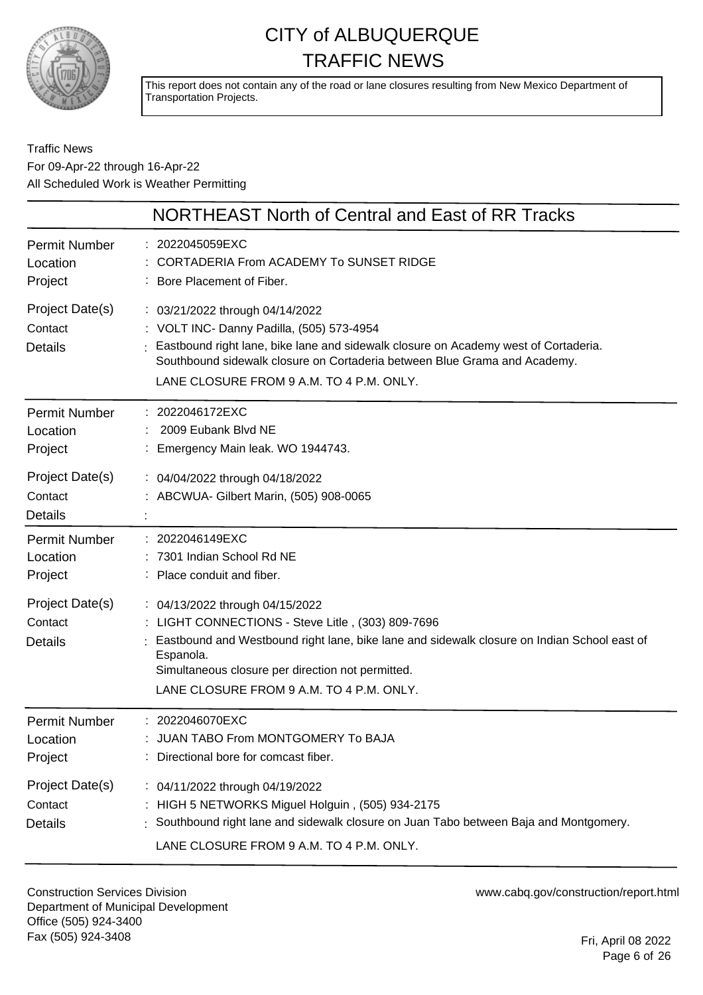

This report does not contain any of the road or lane closures resulting from New Mexico Department of Transportation Projects.

#### Traffic News For 09-Apr-22 through 16-Apr-22 All Scheduled Work is Weather Permitting

|                                              | <b>NORTHEAST North of Central and East of RR Tracks</b>                                                                                                                                                                                                                                           |
|----------------------------------------------|---------------------------------------------------------------------------------------------------------------------------------------------------------------------------------------------------------------------------------------------------------------------------------------------------|
| <b>Permit Number</b><br>Location<br>Project  | : 2022045059EXC<br>CORTADERIA From ACADEMY To SUNSET RIDGE<br>: Bore Placement of Fiber.                                                                                                                                                                                                          |
| Project Date(s)<br>Contact<br><b>Details</b> | : 03/21/2022 through 04/14/2022<br>: VOLT INC- Danny Padilla, (505) 573-4954<br>Eastbound right lane, bike lane and sidewalk closure on Academy west of Cortaderia.<br>Southbound sidewalk closure on Cortaderia between Blue Grama and Academy.<br>LANE CLOSURE FROM 9 A.M. TO 4 P.M. ONLY.      |
| <b>Permit Number</b><br>Location<br>Project  | 2022046172EXC<br>2009 Eubank Blvd NE<br>Emergency Main leak. WO 1944743.                                                                                                                                                                                                                          |
| Project Date(s)<br>Contact<br><b>Details</b> | : 04/04/2022 through 04/18/2022<br>: ABCWUA- Gilbert Marin, (505) 908-0065                                                                                                                                                                                                                        |
| <b>Permit Number</b><br>Location<br>Project  | : 2022046149EXC<br>: 7301 Indian School Rd NE<br>: Place conduit and fiber.                                                                                                                                                                                                                       |
| Project Date(s)<br>Contact<br><b>Details</b> | : 04/13/2022 through 04/15/2022<br>: LIGHT CONNECTIONS - Steve Litle, (303) 809-7696<br>Eastbound and Westbound right lane, bike lane and sidewalk closure on Indian School east of<br>Espanola.<br>Simultaneous closure per direction not permitted.<br>LANE CLOSURE FROM 9 A.M. TO 4 P.M. ONLY. |
| <b>Permit Number</b><br>Location<br>Project  | 2022046070EXC<br>JUAN TABO From MONTGOMERY To BAJA<br>Directional bore for comcast fiber.                                                                                                                                                                                                         |
| Project Date(s)<br>Contact<br><b>Details</b> | : 04/11/2022 through 04/19/2022<br>: HIGH 5 NETWORKS Miguel Holguin, (505) 934-2175<br>Southbound right lane and sidewalk closure on Juan Tabo between Baja and Montgomery.<br>LANE CLOSURE FROM 9 A.M. TO 4 P.M. ONLY.                                                                           |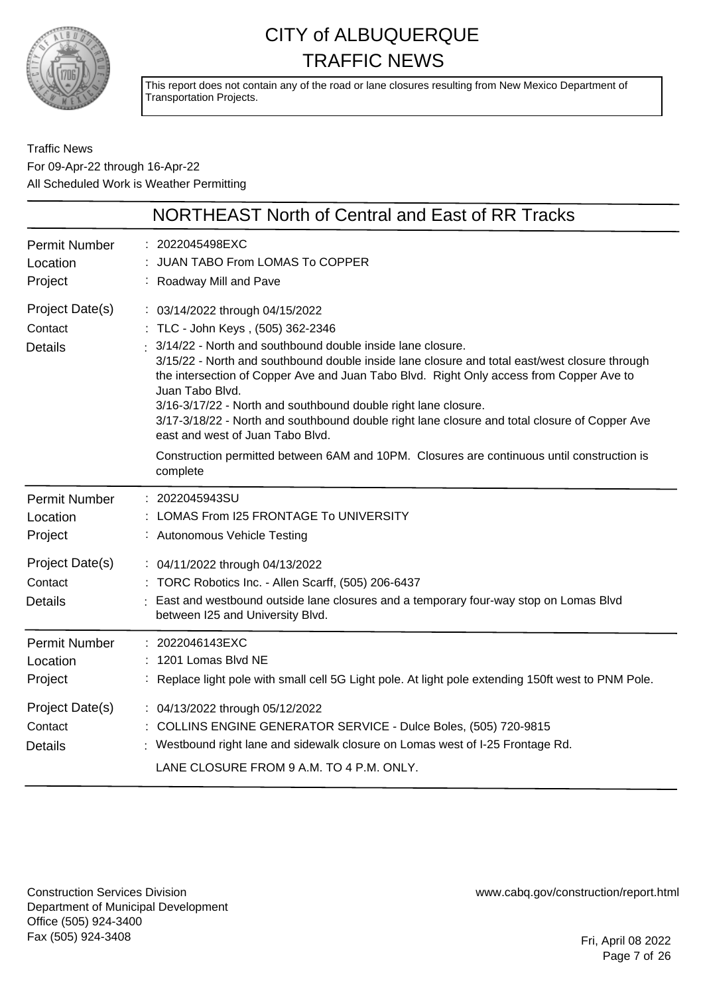

This report does not contain any of the road or lane closures resulting from New Mexico Department of Transportation Projects.

#### Traffic News For 09-Apr-22 through 16-Apr-22 All Scheduled Work is Weather Permitting

|                                              | NORTHEAST North of Central and East of RR Tracks                                                                                                                                                                                                                                                                                                                                                                                                                                                                                                         |
|----------------------------------------------|----------------------------------------------------------------------------------------------------------------------------------------------------------------------------------------------------------------------------------------------------------------------------------------------------------------------------------------------------------------------------------------------------------------------------------------------------------------------------------------------------------------------------------------------------------|
| <b>Permit Number</b><br>Location<br>Project  | : 2022045498EXC<br>JUAN TABO From LOMAS To COPPER<br>: Roadway Mill and Pave                                                                                                                                                                                                                                                                                                                                                                                                                                                                             |
| Project Date(s)<br>Contact<br><b>Details</b> | : 03/14/2022 through 04/15/2022<br>: TLC - John Keys, (505) 362-2346<br>3/14/22 - North and southbound double inside lane closure.<br>3/15/22 - North and southbound double inside lane closure and total east/west closure through<br>the intersection of Copper Ave and Juan Tabo Blvd. Right Only access from Copper Ave to<br>Juan Tabo Blvd.<br>3/16-3/17/22 - North and southbound double right lane closure.<br>3/17-3/18/22 - North and southbound double right lane closure and total closure of Copper Ave<br>east and west of Juan Tabo Blvd. |
|                                              | Construction permitted between 6AM and 10PM. Closures are continuous until construction is<br>complete                                                                                                                                                                                                                                                                                                                                                                                                                                                   |
| <b>Permit Number</b><br>Location<br>Project  | : 2022045943SU<br>: LOMAS From I25 FRONTAGE To UNIVERSITY<br>: Autonomous Vehicle Testing                                                                                                                                                                                                                                                                                                                                                                                                                                                                |
| Project Date(s)<br>Contact<br><b>Details</b> | : 04/11/2022 through 04/13/2022<br>: TORC Robotics Inc. - Allen Scarff, (505) 206-6437<br>East and westbound outside lane closures and a temporary four-way stop on Lomas Blvd<br>between I25 and University Blvd.                                                                                                                                                                                                                                                                                                                                       |
| <b>Permit Number</b><br>Location<br>Project  | : 2022046143EXC<br>: 1201 Lomas Blvd NE<br>: Replace light pole with small cell 5G Light pole. At light pole extending 150ft west to PNM Pole.                                                                                                                                                                                                                                                                                                                                                                                                           |
| Project Date(s)<br>Contact<br><b>Details</b> | : 04/13/2022 through 05/12/2022<br>: COLLINS ENGINE GENERATOR SERVICE - Dulce Boles, (505) 720-9815<br>Westbound right lane and sidewalk closure on Lomas west of I-25 Frontage Rd.<br>LANE CLOSURE FROM 9 A.M. TO 4 P.M. ONLY.                                                                                                                                                                                                                                                                                                                          |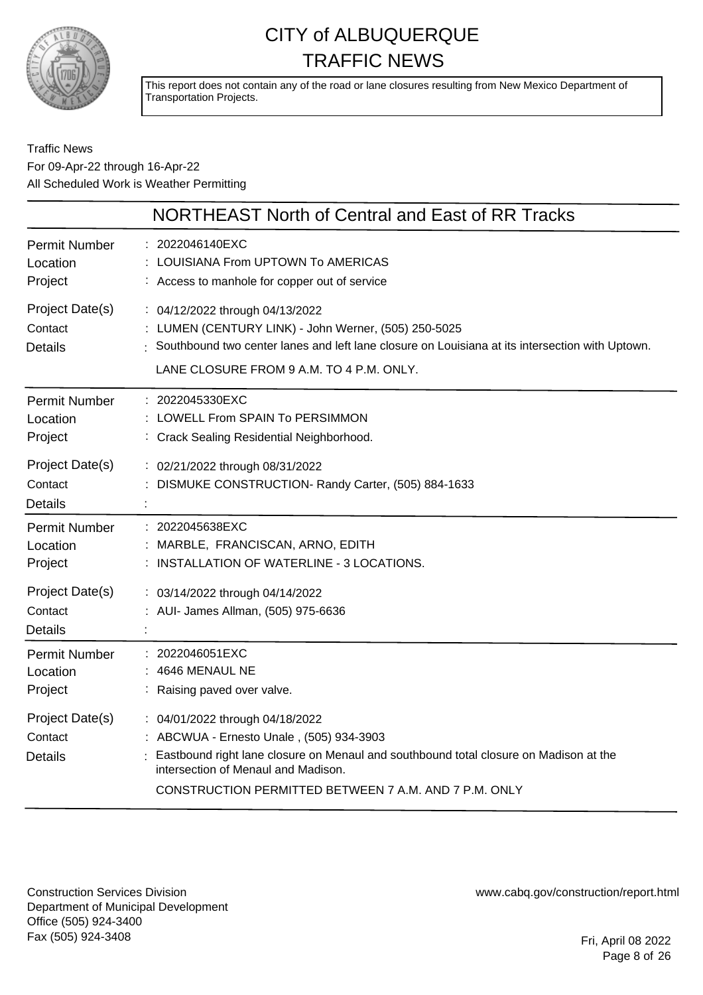

This report does not contain any of the road or lane closures resulting from New Mexico Department of Transportation Projects.

#### Traffic News For 09-Apr-22 through 16-Apr-22 All Scheduled Work is Weather Permitting

|                                              | <b>NORTHEAST North of Central and East of RR Tracks</b>                                                                                                                                                                                                              |
|----------------------------------------------|----------------------------------------------------------------------------------------------------------------------------------------------------------------------------------------------------------------------------------------------------------------------|
| <b>Permit Number</b><br>Location<br>Project  | 2022046140EXC<br>LOUISIANA From UPTOWN To AMERICAS<br>: Access to manhole for copper out of service                                                                                                                                                                  |
| Project Date(s)<br>Contact<br><b>Details</b> | : 04/12/2022 through 04/13/2022<br>: LUMEN (CENTURY LINK) - John Werner, (505) 250-5025<br>Southbound two center lanes and left lane closure on Louisiana at its intersection with Uptown.<br>LANE CLOSURE FROM 9 A.M. TO 4 P.M. ONLY.                               |
| <b>Permit Number</b><br>Location<br>Project  | : 2022045330EXC<br>LOWELL From SPAIN To PERSIMMON<br>: Crack Sealing Residential Neighborhood.                                                                                                                                                                       |
| Project Date(s)<br>Contact<br><b>Details</b> | : 02/21/2022 through 08/31/2022<br>DISMUKE CONSTRUCTION- Randy Carter, (505) 884-1633                                                                                                                                                                                |
| <b>Permit Number</b><br>Location<br>Project  | 2022045638EXC<br>MARBLE, FRANCISCAN, ARNO, EDITH<br>: INSTALLATION OF WATERLINE - 3 LOCATIONS.                                                                                                                                                                       |
| Project Date(s)<br>Contact<br><b>Details</b> | : 03/14/2022 through 04/14/2022<br>: AUI- James Allman, (505) 975-6636                                                                                                                                                                                               |
| <b>Permit Number</b><br>Location<br>Project  | 2022046051EXC<br>4646 MENAUL NE<br>Raising paved over valve.                                                                                                                                                                                                         |
| Project Date(s)<br>Contact<br><b>Details</b> | : 04/01/2022 through 04/18/2022<br>: ABCWUA - Ernesto Unale, (505) 934-3903<br>Eastbound right lane closure on Menaul and southbound total closure on Madison at the<br>intersection of Menaul and Madison.<br>CONSTRUCTION PERMITTED BETWEEN 7 A.M. AND 7 P.M. ONLY |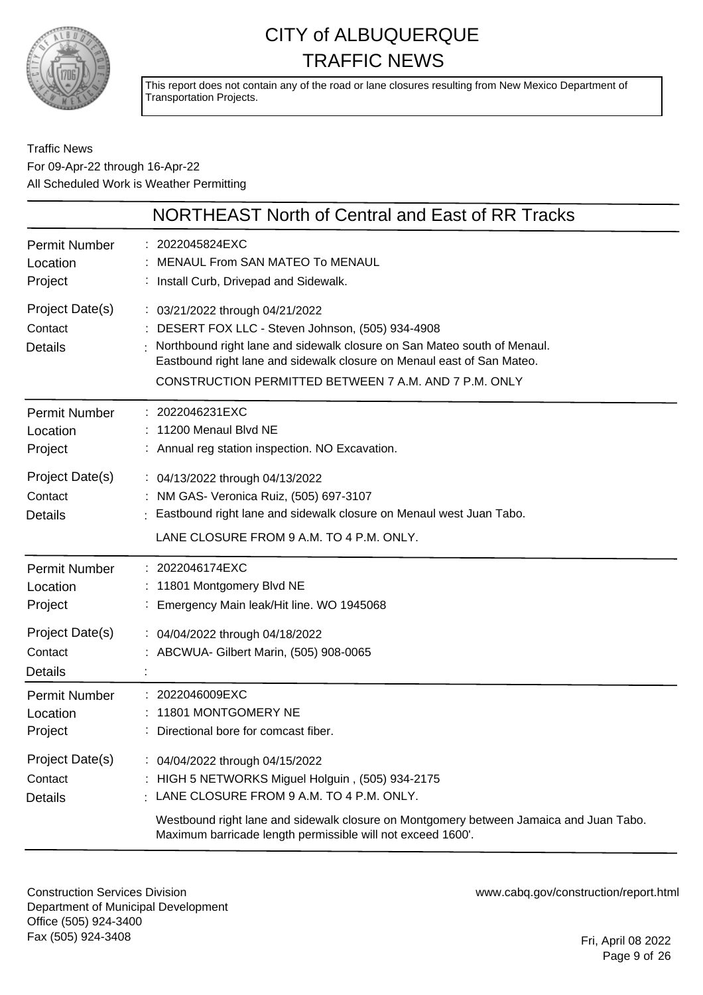

This report does not contain any of the road or lane closures resulting from New Mexico Department of Transportation Projects.

#### Traffic News For 09-Apr-22 through 16-Apr-22 All Scheduled Work is Weather Permitting

|                                              | NORTHEAST North of Central and East of RR Tracks                                                                                                                                                                                                                                                       |
|----------------------------------------------|--------------------------------------------------------------------------------------------------------------------------------------------------------------------------------------------------------------------------------------------------------------------------------------------------------|
| <b>Permit Number</b><br>Location<br>Project  | : 2022045824EXC<br><b>MENAUL From SAN MATEO To MENAUL</b><br>: Install Curb, Drivepad and Sidewalk.                                                                                                                                                                                                    |
| Project Date(s)<br>Contact<br><b>Details</b> | : 03/21/2022 through 04/21/2022<br>DESERT FOX LLC - Steven Johnson, (505) 934-4908<br>Northbound right lane and sidewalk closure on San Mateo south of Menaul.<br>Eastbound right lane and sidewalk closure on Menaul east of San Mateo.<br>CONSTRUCTION PERMITTED BETWEEN 7 A.M. AND 7 P.M. ONLY      |
| Permit Number<br>Location<br>Project         | : 2022046231EXC<br>: 11200 Menaul Blvd NE<br>: Annual reg station inspection. NO Excavation.                                                                                                                                                                                                           |
| Project Date(s)<br>Contact<br><b>Details</b> | : 04/13/2022 through 04/13/2022<br>: NM GAS- Veronica Ruiz, (505) 697-3107<br>: Eastbound right lane and sidewalk closure on Menaul west Juan Tabo.<br>LANE CLOSURE FROM 9 A.M. TO 4 P.M. ONLY.                                                                                                        |
| Permit Number<br>Location<br>Project         | : 2022046174EXC<br>: 11801 Montgomery Blvd NE<br>: Emergency Main leak/Hit line. WO 1945068                                                                                                                                                                                                            |
| Project Date(s)<br>Contact<br><b>Details</b> | : 04/04/2022 through 04/18/2022<br>: ABCWUA- Gilbert Marin, (505) 908-0065                                                                                                                                                                                                                             |
| <b>Permit Number</b><br>Location<br>Project  | 2022046009EXC<br>11801 MONTGOMERY NE<br>Directional bore for comcast fiber.                                                                                                                                                                                                                            |
| Project Date(s)<br>Contact<br><b>Details</b> | : 04/04/2022 through 04/15/2022<br>: HIGH 5 NETWORKS Miguel Holguin, (505) 934-2175<br>$\frac{1}{2}$ LANE CLOSURE FROM 9 A.M. TO 4 P.M. ONLY.<br>Westbound right lane and sidewalk closure on Montgomery between Jamaica and Juan Tabo.<br>Maximum barricade length permissible will not exceed 1600'. |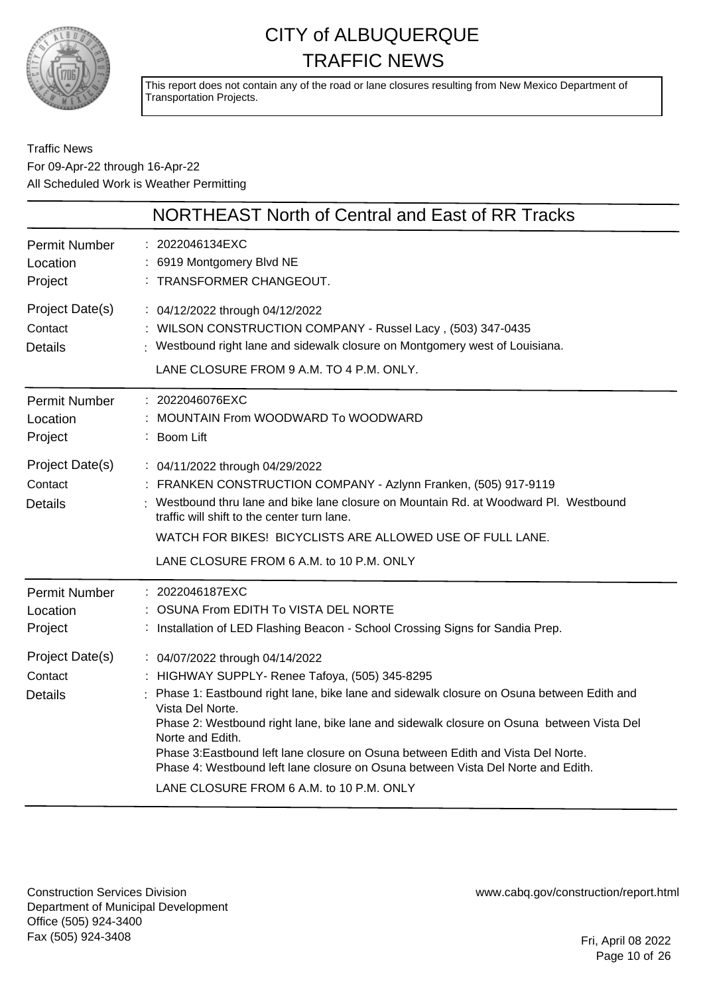

This report does not contain any of the road or lane closures resulting from New Mexico Department of Transportation Projects.

Traffic News For 09-Apr-22 through 16-Apr-22 All Scheduled Work is Weather Permitting

|                                              | NORTHEAST North of Central and East of RR Tracks                                                                                                                                                                                                                                                                                                                                                                                                                                                                                      |
|----------------------------------------------|---------------------------------------------------------------------------------------------------------------------------------------------------------------------------------------------------------------------------------------------------------------------------------------------------------------------------------------------------------------------------------------------------------------------------------------------------------------------------------------------------------------------------------------|
| <b>Permit Number</b><br>Location<br>Project  | : 2022046134EXC<br>: 6919 Montgomery Blvd NE<br>: TRANSFORMER CHANGEOUT.                                                                                                                                                                                                                                                                                                                                                                                                                                                              |
| Project Date(s)<br>Contact<br><b>Details</b> | : 04/12/2022 through 04/12/2022<br>: WILSON CONSTRUCTION COMPANY - Russel Lacy, (503) 347-0435<br>: Westbound right lane and sidewalk closure on Montgomery west of Louisiana.<br>LANE CLOSURE FROM 9 A.M. TO 4 P.M. ONLY.                                                                                                                                                                                                                                                                                                            |
| <b>Permit Number</b><br>Location<br>Project  | $: 2022046076$ EXC<br>MOUNTAIN From WOODWARD To WOODWARD<br>: Boom Lift                                                                                                                                                                                                                                                                                                                                                                                                                                                               |
| Project Date(s)<br>Contact<br><b>Details</b> | : 04/11/2022 through 04/29/2022<br>: FRANKEN CONSTRUCTION COMPANY - Azlynn Franken, (505) 917-9119<br>Westbound thru lane and bike lane closure on Mountain Rd. at Woodward Pl. Westbound<br>traffic will shift to the center turn lane.                                                                                                                                                                                                                                                                                              |
|                                              | WATCH FOR BIKES! BICYCLISTS ARE ALLOWED USE OF FULL LANE.<br>LANE CLOSURE FROM 6 A.M. to 10 P.M. ONLY                                                                                                                                                                                                                                                                                                                                                                                                                                 |
| <b>Permit Number</b><br>Location<br>Project  | : 2022046187EXC<br>OSUNA From EDITH To VISTA DEL NORTE<br>: Installation of LED Flashing Beacon - School Crossing Signs for Sandia Prep.                                                                                                                                                                                                                                                                                                                                                                                              |
| Project Date(s)<br>Contact<br><b>Details</b> | : 04/07/2022 through 04/14/2022<br>: HIGHWAY SUPPLY- Renee Tafoya, (505) 345-8295<br>Phase 1: Eastbound right lane, bike lane and sidewalk closure on Osuna between Edith and<br>Vista Del Norte.<br>Phase 2: Westbound right lane, bike lane and sidewalk closure on Osuna between Vista Del<br>Norte and Edith.<br>Phase 3: Eastbound left lane closure on Osuna between Edith and Vista Del Norte.<br>Phase 4: Westbound left lane closure on Osuna between Vista Del Norte and Edith.<br>LANE CLOSURE FROM 6 A.M. to 10 P.M. ONLY |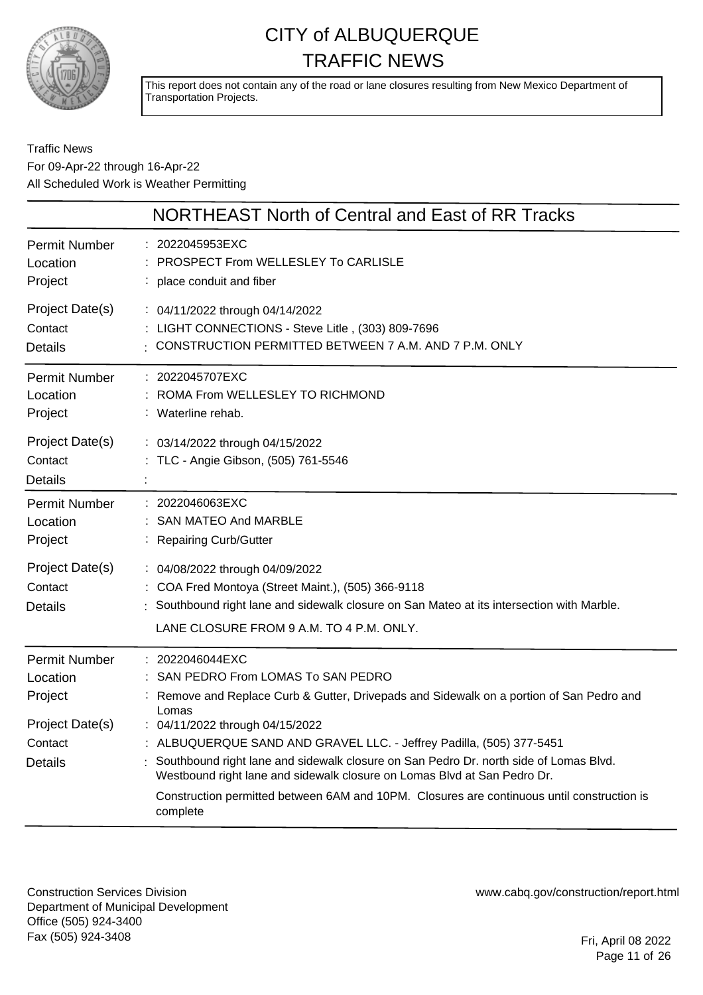

This report does not contain any of the road or lane closures resulting from New Mexico Department of Transportation Projects.

#### Traffic News For 09-Apr-22 through 16-Apr-22 All Scheduled Work is Weather Permitting

|                                                                                             | NORTHEAST North of Central and East of RR Tracks                                                                                                                                                                                                                                                                                                                                                                                                                                                                                                    |
|---------------------------------------------------------------------------------------------|-----------------------------------------------------------------------------------------------------------------------------------------------------------------------------------------------------------------------------------------------------------------------------------------------------------------------------------------------------------------------------------------------------------------------------------------------------------------------------------------------------------------------------------------------------|
| <b>Permit Number</b>                                                                        | : 2022045953EXC                                                                                                                                                                                                                                                                                                                                                                                                                                                                                                                                     |
| Location                                                                                    | <b>PROSPECT From WELLESLEY To CARLISLE</b>                                                                                                                                                                                                                                                                                                                                                                                                                                                                                                          |
| Project                                                                                     | : place conduit and fiber                                                                                                                                                                                                                                                                                                                                                                                                                                                                                                                           |
| Project Date(s)                                                                             | : 04/11/2022 through 04/14/2022                                                                                                                                                                                                                                                                                                                                                                                                                                                                                                                     |
| Contact                                                                                     | : LIGHT CONNECTIONS - Steve Litle, (303) 809-7696                                                                                                                                                                                                                                                                                                                                                                                                                                                                                                   |
| <b>Details</b>                                                                              | : CONSTRUCTION PERMITTED BETWEEN 7 A.M. AND 7 P.M. ONLY                                                                                                                                                                                                                                                                                                                                                                                                                                                                                             |
| Permit Number                                                                               | : 2022045707EXC                                                                                                                                                                                                                                                                                                                                                                                                                                                                                                                                     |
| Location                                                                                    | ROMA From WELLESLEY TO RICHMOND                                                                                                                                                                                                                                                                                                                                                                                                                                                                                                                     |
| Project                                                                                     | : Waterline rehab.                                                                                                                                                                                                                                                                                                                                                                                                                                                                                                                                  |
| Project Date(s)<br>Contact<br><b>Details</b>                                                | : 03/14/2022 through 04/15/2022<br>TLC - Angie Gibson, (505) 761-5546                                                                                                                                                                                                                                                                                                                                                                                                                                                                               |
| <b>Permit Number</b>                                                                        | : 2022046063EXC                                                                                                                                                                                                                                                                                                                                                                                                                                                                                                                                     |
| Location                                                                                    | : SAN MATEO And MARBLE                                                                                                                                                                                                                                                                                                                                                                                                                                                                                                                              |
| Project                                                                                     | : Repairing Curb/Gutter                                                                                                                                                                                                                                                                                                                                                                                                                                                                                                                             |
| Project Date(s)<br>Contact<br><b>Details</b>                                                | : 04/08/2022 through 04/09/2022<br>: COA Fred Montoya (Street Maint.), (505) 366-9118<br>Southbound right lane and sidewalk closure on San Mateo at its intersection with Marble.<br>LANE CLOSURE FROM 9 A.M. TO 4 P.M. ONLY.                                                                                                                                                                                                                                                                                                                       |
| <b>Permit Number</b><br>Location<br>Project<br>Project Date(s)<br>Contact<br><b>Details</b> | 2022046044EXC<br>: SAN PEDRO From LOMAS To SAN PEDRO<br>: Remove and Replace Curb & Gutter, Drivepads and Sidewalk on a portion of San Pedro and<br>Lomas<br>: 04/11/2022 through 04/15/2022<br>: ALBUQUERQUE SAND AND GRAVEL LLC. - Jeffrey Padilla, (505) 377-5451<br>Southbound right lane and sidewalk closure on San Pedro Dr. north side of Lomas Blvd.<br>Westbound right lane and sidewalk closure on Lomas Blvd at San Pedro Dr.<br>Construction permitted between 6AM and 10PM. Closures are continuous until construction is<br>complete |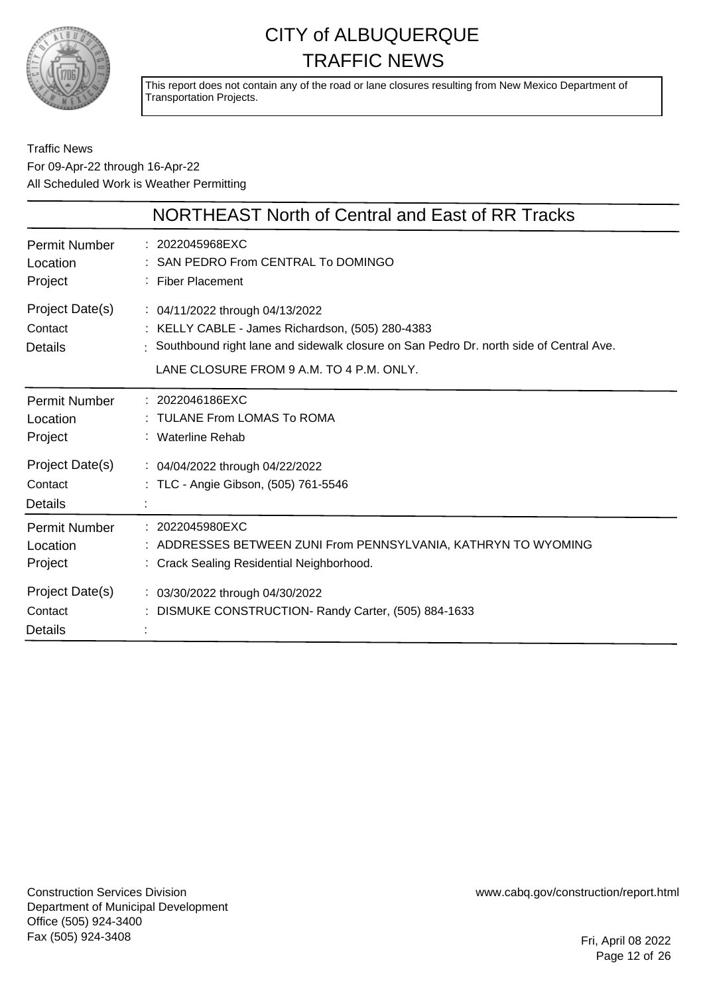

This report does not contain any of the road or lane closures resulting from New Mexico Department of Transportation Projects.

#### Traffic News For 09-Apr-22 through 16-Apr-22 All Scheduled Work is Weather Permitting

|                                              | NORTHEAST North of Central and East of RR Tracks                                                                                                                                                                                       |
|----------------------------------------------|----------------------------------------------------------------------------------------------------------------------------------------------------------------------------------------------------------------------------------------|
| <b>Permit Number</b><br>Location<br>Project  | : 2022045968EXC<br>SAN PEDRO From CENTRAL To DOMINGO<br><b>Fiber Placement</b>                                                                                                                                                         |
| Project Date(s)<br>Contact<br><b>Details</b> | $\therefore$ 04/11/2022 through 04/13/2022<br>: KELLY CABLE - James Richardson, (505) 280-4383<br>: Southbound right lane and sidewalk closure on San Pedro Dr. north side of Central Ave.<br>LANE CLOSURE FROM 9 A.M. TO 4 P.M. ONLY. |
| <b>Permit Number</b><br>Location<br>Project  | : 2022046186EXC<br>: TULANE From LOMAS To ROMA<br>: Waterline Rehab                                                                                                                                                                    |
| Project Date(s)<br>Contact<br><b>Details</b> | : 04/04/2022 through 04/22/2022<br>: TLC - Angie Gibson, (505) 761-5546                                                                                                                                                                |
| <b>Permit Number</b><br>Location<br>Project  | $: 2022045980$ EXC<br>ADDRESSES BETWEEN ZUNI From PENNSYLVANIA, KATHRYN TO WYOMING<br>: Crack Sealing Residential Neighborhood.                                                                                                        |
| Project Date(s)<br>Contact<br><b>Details</b> | : 03/30/2022 through 04/30/2022<br>: DISMUKE CONSTRUCTION- Randy Carter, (505) 884-1633                                                                                                                                                |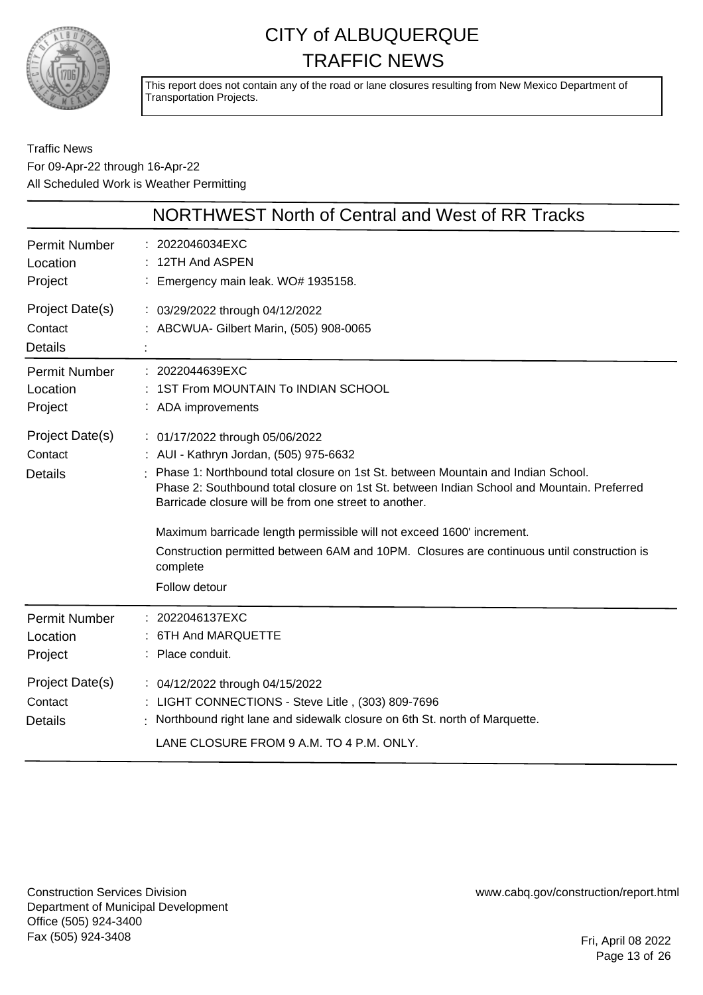

This report does not contain any of the road or lane closures resulting from New Mexico Department of Transportation Projects.

#### Traffic News For 09-Apr-22 through 16-Apr-22 All Scheduled Work is Weather Permitting

|                                              | NORTHWEST North of Central and West of RR Tracks                                                                                                                                                                                                                                                                                                                                                                                                                                                                         |
|----------------------------------------------|--------------------------------------------------------------------------------------------------------------------------------------------------------------------------------------------------------------------------------------------------------------------------------------------------------------------------------------------------------------------------------------------------------------------------------------------------------------------------------------------------------------------------|
| <b>Permit Number</b><br>Location<br>Project  | : 2022046034EXC<br>12TH And ASPEN<br>: Emergency main leak. WO# 1935158.                                                                                                                                                                                                                                                                                                                                                                                                                                                 |
| Project Date(s)<br>Contact<br><b>Details</b> | : 03/29/2022 through 04/12/2022<br>: ABCWUA- Gilbert Marin, (505) 908-0065                                                                                                                                                                                                                                                                                                                                                                                                                                               |
| <b>Permit Number</b><br>Location<br>Project  | : 2022044639EXC<br>: 1ST From MOUNTAIN To INDIAN SCHOOL<br>: ADA improvements                                                                                                                                                                                                                                                                                                                                                                                                                                            |
| Project Date(s)<br>Contact<br><b>Details</b> | : 01/17/2022 through 05/06/2022<br>: AUI - Kathryn Jordan, (505) 975-6632<br>Phase 1: Northbound total closure on 1st St. between Mountain and Indian School.<br>Phase 2: Southbound total closure on 1st St. between Indian School and Mountain. Preferred<br>Barricade closure will be from one street to another.<br>Maximum barricade length permissible will not exceed 1600' increment.<br>Construction permitted between 6AM and 10PM. Closures are continuous until construction is<br>complete<br>Follow detour |
| <b>Permit Number</b><br>Location<br>Project  | 2022046137EXC<br>6TH And MARQUETTE<br>Place conduit.                                                                                                                                                                                                                                                                                                                                                                                                                                                                     |
| Project Date(s)<br>Contact<br><b>Details</b> | : 04/12/2022 through 04/15/2022<br>LIGHT CONNECTIONS - Steve Litle, (303) 809-7696<br>Northbound right lane and sidewalk closure on 6th St. north of Marquette.<br>LANE CLOSURE FROM 9 A.M. TO 4 P.M. ONLY.                                                                                                                                                                                                                                                                                                              |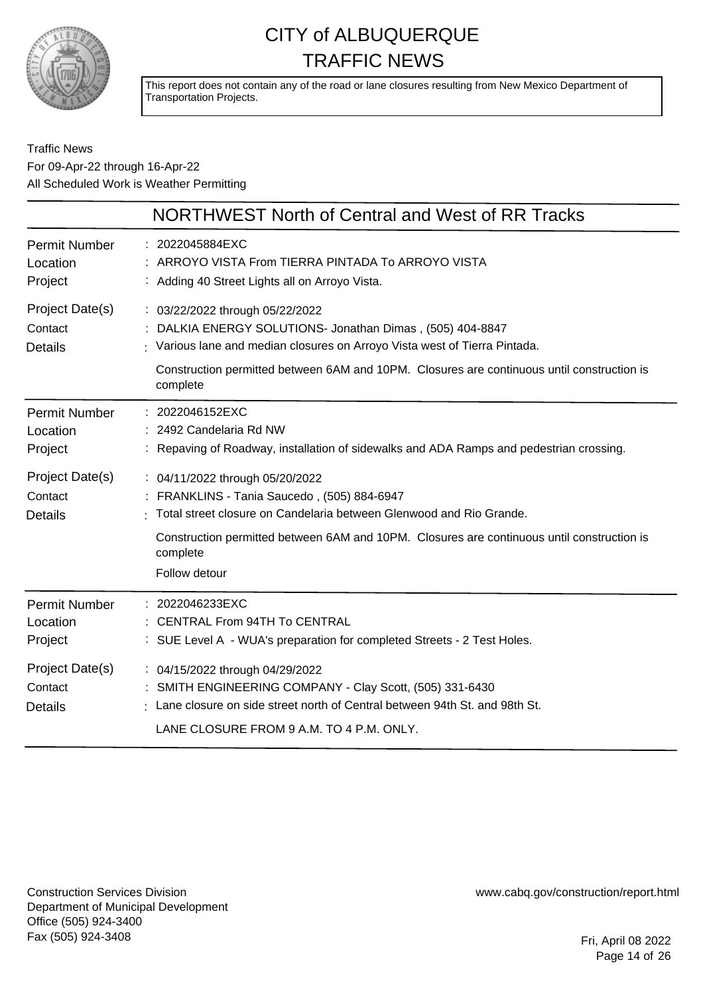

This report does not contain any of the road or lane closures resulting from New Mexico Department of Transportation Projects.

#### Traffic News For 09-Apr-22 through 16-Apr-22 All Scheduled Work is Weather Permitting

|                                              | NORTHWEST North of Central and West of RR Tracks                                                                                                                                                                                                                                     |
|----------------------------------------------|--------------------------------------------------------------------------------------------------------------------------------------------------------------------------------------------------------------------------------------------------------------------------------------|
| Permit Number<br>Location<br>Project         | : 2022045884EXC<br>: ARROYO VISTA From TIERRA PINTADA To ARROYO VISTA<br>: Adding 40 Street Lights all on Arroyo Vista.                                                                                                                                                              |
| Project Date(s)<br>Contact<br><b>Details</b> | : 03/22/2022 through 05/22/2022<br>: DALKIA ENERGY SOLUTIONS- Jonathan Dimas, (505) 404-8847<br>: Various lane and median closures on Arroyo Vista west of Tierra Pintada.<br>Construction permitted between 6AM and 10PM. Closures are continuous until construction is<br>complete |
| <b>Permit Number</b><br>Location<br>Project  | : 2022046152EXC<br>2492 Candelaria Rd NW<br>: Repaving of Roadway, installation of sidewalks and ADA Ramps and pedestrian crossing.                                                                                                                                                  |
| Project Date(s)<br>Contact<br><b>Details</b> | : 04/11/2022 through 05/20/2022<br>: FRANKLINS - Tania Saucedo, (505) 884-6947<br>Total street closure on Candelaria between Glenwood and Rio Grande.<br>Construction permitted between 6AM and 10PM. Closures are continuous until construction is<br>complete<br>Follow detour     |
| <b>Permit Number</b><br>Location<br>Project  | : 2022046233EXC<br>: CENTRAL From 94TH To CENTRAL<br>: SUE Level A - WUA's preparation for completed Streets - 2 Test Holes.                                                                                                                                                         |
| Project Date(s)<br>Contact<br><b>Details</b> | : 04/15/2022 through 04/29/2022<br>: SMITH ENGINEERING COMPANY - Clay Scott, (505) 331-6430<br>: Lane closure on side street north of Central between 94th St. and 98th St.<br>LANE CLOSURE FROM 9 A.M. TO 4 P.M. ONLY.                                                              |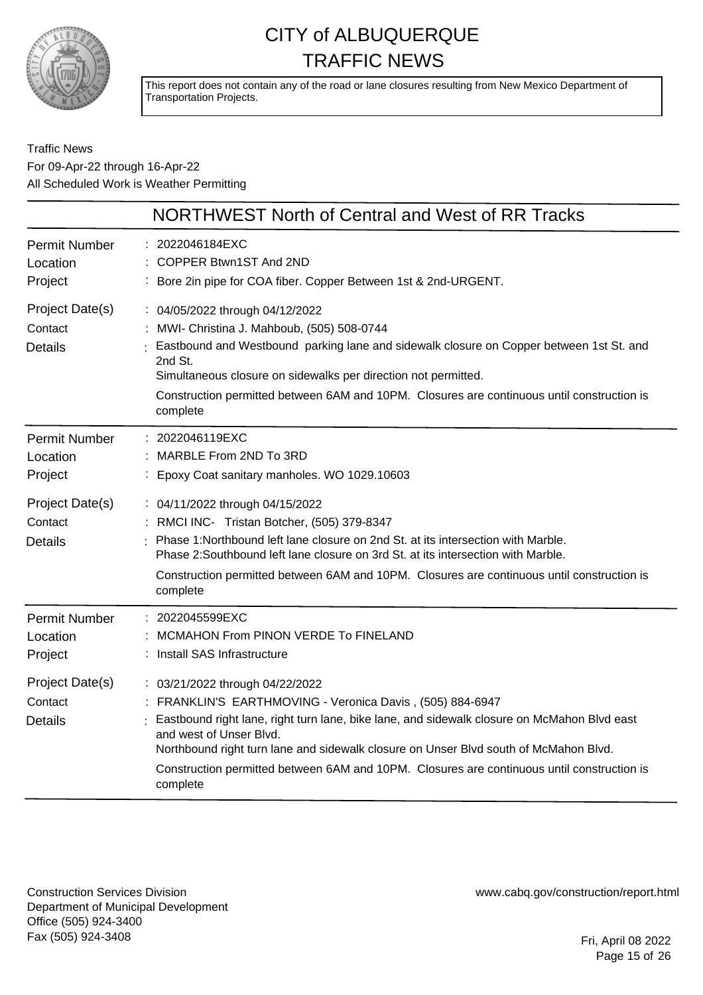

This report does not contain any of the road or lane closures resulting from New Mexico Department of Transportation Projects.

Traffic News For 09-Apr-22 through 16-Apr-22 All Scheduled Work is Weather Permitting

|                                              | NORTHWEST North of Central and West of RR Tracks                                                                                                                                                                                                                                                                                                                                                                       |
|----------------------------------------------|------------------------------------------------------------------------------------------------------------------------------------------------------------------------------------------------------------------------------------------------------------------------------------------------------------------------------------------------------------------------------------------------------------------------|
| <b>Permit Number</b><br>Location<br>Project  | 2022046184EXC<br>COPPER Btwn1ST And 2ND<br>Bore 2in pipe for COA fiber. Copper Between 1st & 2nd-URGENT.                                                                                                                                                                                                                                                                                                               |
| Project Date(s)<br>Contact<br><b>Details</b> | : 04/05/2022 through 04/12/2022<br>MWI- Christina J. Mahboub, (505) 508-0744<br>Eastbound and Westbound parking lane and sidewalk closure on Copper between 1st St. and<br>2nd St.<br>Simultaneous closure on sidewalks per direction not permitted.<br>Construction permitted between 6AM and 10PM. Closures are continuous until construction is<br>complete                                                         |
| <b>Permit Number</b><br>Location<br>Project  | : 2022046119EXC<br>MARBLE From 2ND To 3RD<br>Epoxy Coat sanitary manholes. WO 1029.10603                                                                                                                                                                                                                                                                                                                               |
| Project Date(s)<br>Contact<br><b>Details</b> | : 04/11/2022 through 04/15/2022<br>RMCI INC- Tristan Botcher, (505) 379-8347<br>Phase 1: Northbound left lane closure on 2nd St. at its intersection with Marble.<br>Phase 2: Southbound left lane closure on 3rd St. at its intersection with Marble.<br>Construction permitted between 6AM and 10PM. Closures are continuous until construction is<br>complete                                                       |
| <b>Permit Number</b><br>Location<br>Project  | : 2022045599EXC<br>MCMAHON From PINON VERDE To FINELAND<br>Install SAS Infrastructure                                                                                                                                                                                                                                                                                                                                  |
| Project Date(s)<br>Contact<br><b>Details</b> | : 03/21/2022 through 04/22/2022<br>FRANKLIN'S EARTHMOVING - Veronica Davis, (505) 884-6947<br>Eastbound right lane, right turn lane, bike lane, and sidewalk closure on McMahon Blvd east<br>and west of Unser Blvd.<br>Northbound right turn lane and sidewalk closure on Unser Blvd south of McMahon Blvd.<br>Construction permitted between 6AM and 10PM. Closures are continuous until construction is<br>complete |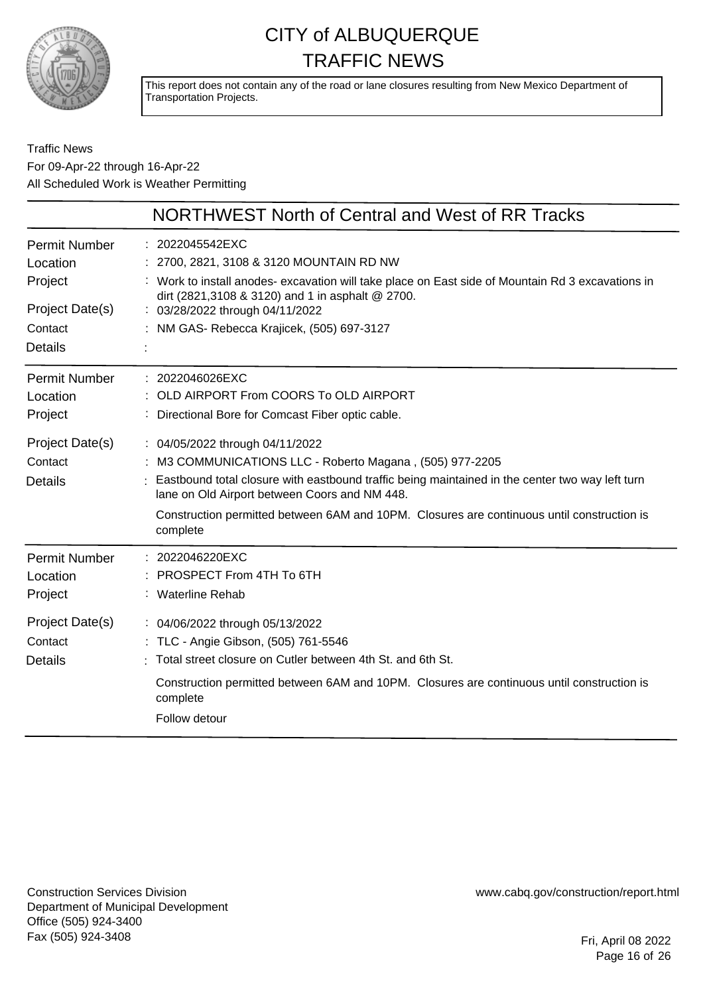

This report does not contain any of the road or lane closures resulting from New Mexico Department of Transportation Projects.

#### Traffic News For 09-Apr-22 through 16-Apr-22 All Scheduled Work is Weather Permitting

| NORTHWEST North of Central and West of RR Tracks                                                                                                      |
|-------------------------------------------------------------------------------------------------------------------------------------------------------|
| : 2022045542EXC                                                                                                                                       |
| : 2700, 2821, 3108 & 3120 MOUNTAIN RD NW                                                                                                              |
| : Work to install anodes- excavation will take place on East side of Mountain Rd 3 excavations in<br>dirt (2821,3108 & 3120) and 1 in asphalt @ 2700. |
| : 03/28/2022 through 04/11/2022                                                                                                                       |
| : NM GAS- Rebecca Krajicek, (505) 697-3127                                                                                                            |
|                                                                                                                                                       |
| $: 2022046026$ EXC                                                                                                                                    |
| OLD AIRPORT From COORS To OLD AIRPORT                                                                                                                 |
| : Directional Bore for Comcast Fiber optic cable.                                                                                                     |
| : 04/05/2022 through 04/11/2022                                                                                                                       |
| : M3 COMMUNICATIONS LLC - Roberto Magana, (505) 977-2205                                                                                              |
| Eastbound total closure with eastbound traffic being maintained in the center two way left turn<br>lane on Old Airport between Coors and NM 448.      |
| Construction permitted between 6AM and 10PM. Closures are continuous until construction is<br>complete                                                |
| $: 2022046220$ EXC                                                                                                                                    |
| PROSPECT From 4TH To 6TH                                                                                                                              |
| : Waterline Rehab                                                                                                                                     |
| : 04/06/2022 through 05/13/2022                                                                                                                       |
| : TLC - Angie Gibson, (505) 761-5546                                                                                                                  |
| Total street closure on Cutler between 4th St. and 6th St.                                                                                            |
| Construction permitted between 6AM and 10PM. Closures are continuous until construction is<br>complete                                                |
| Follow detour                                                                                                                                         |
|                                                                                                                                                       |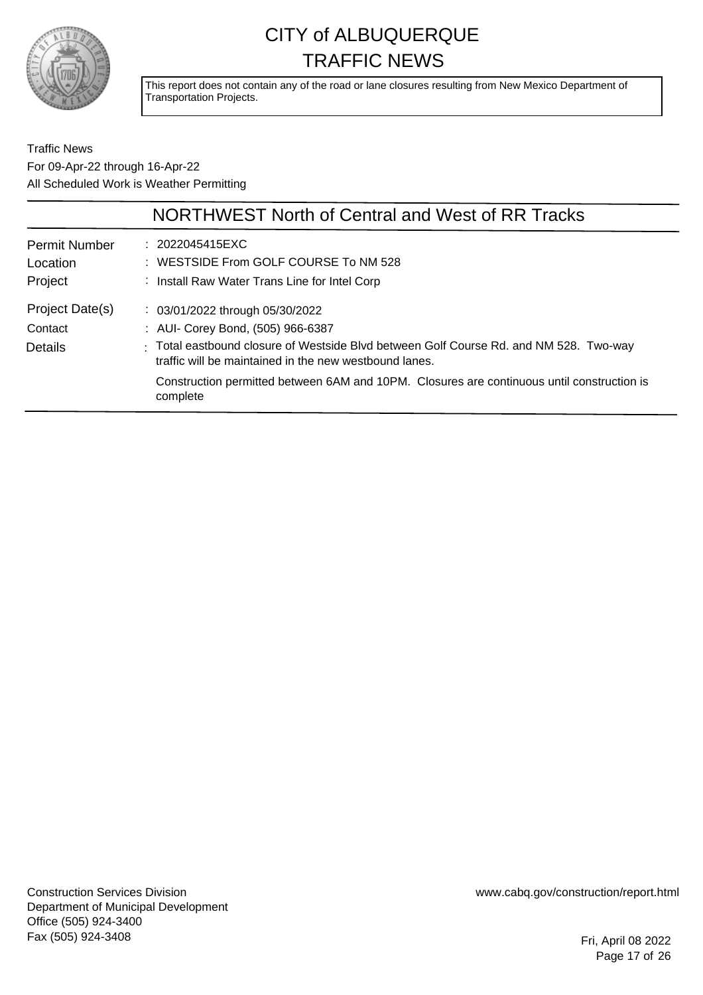

This report does not contain any of the road or lane closures resulting from New Mexico Department of Transportation Projects.

Traffic News For 09-Apr-22 through 16-Apr-22 All Scheduled Work is Weather Permitting

|                                             | NORTHWEST North of Central and West of RR Tracks                                                                                                                                                                                                                                                                                  |
|---------------------------------------------|-----------------------------------------------------------------------------------------------------------------------------------------------------------------------------------------------------------------------------------------------------------------------------------------------------------------------------------|
| <b>Permit Number</b><br>Location<br>Project | : 2022045415EXC<br>: WESTSIDE From GOLF COURSE To NM 528<br>: Install Raw Water Trans Line for Intel Corp                                                                                                                                                                                                                         |
| Project Date(s)<br>Contact<br>Details       | $\therefore$ 03/01/2022 through 05/30/2022<br>: AUI- Corey Bond, (505) 966-6387<br>: Total eastbound closure of Westside Blvd between Golf Course Rd. and NM 528. Two-way<br>traffic will be maintained in the new westbound lanes.<br>Construction permitted between 6AM and 10PM. Closures are continuous until construction is |
|                                             | complete                                                                                                                                                                                                                                                                                                                          |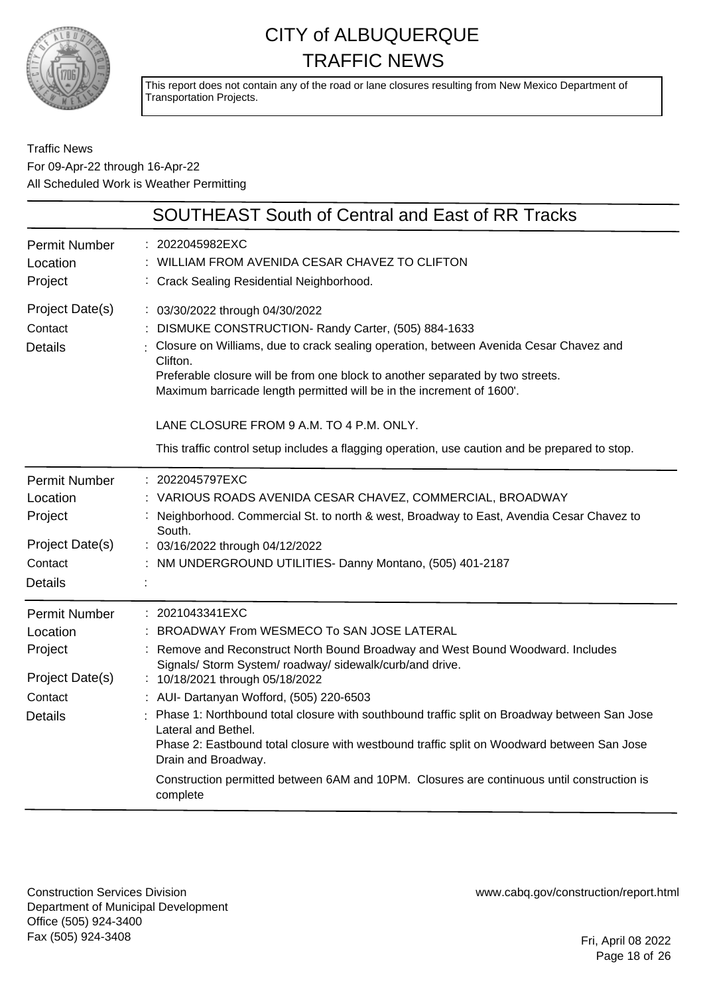

This report does not contain any of the road or lane closures resulting from New Mexico Department of Transportation Projects.

#### Traffic News For 09-Apr-22 through 16-Apr-22 All Scheduled Work is Weather Permitting

|                                                                                             | <b>SOUTHEAST South of Central and East of RR Tracks</b>                                                                                                                                                                                                                                                                                                                                                                                                                                                                                                                                                                                        |
|---------------------------------------------------------------------------------------------|------------------------------------------------------------------------------------------------------------------------------------------------------------------------------------------------------------------------------------------------------------------------------------------------------------------------------------------------------------------------------------------------------------------------------------------------------------------------------------------------------------------------------------------------------------------------------------------------------------------------------------------------|
| <b>Permit Number</b><br>Location<br>Project                                                 | 2022045982EXC<br>WILLIAM FROM AVENIDA CESAR CHAVEZ TO CLIFTON<br>: Crack Sealing Residential Neighborhood.                                                                                                                                                                                                                                                                                                                                                                                                                                                                                                                                     |
| Project Date(s)<br>Contact<br><b>Details</b>                                                | : 03/30/2022 through 04/30/2022<br>DISMUKE CONSTRUCTION- Randy Carter, (505) 884-1633<br>Closure on Williams, due to crack sealing operation, between Avenida Cesar Chavez and<br>Clifton.<br>Preferable closure will be from one block to another separated by two streets.<br>Maximum barricade length permitted will be in the increment of 1600'.<br>LANE CLOSURE FROM 9 A.M. TO 4 P.M. ONLY.<br>This traffic control setup includes a flagging operation, use caution and be prepared to stop.                                                                                                                                            |
| <b>Permit Number</b><br>Location<br>Project<br>Project Date(s)<br>Contact<br><b>Details</b> | 2022045797EXC<br>VARIOUS ROADS AVENIDA CESAR CHAVEZ, COMMERCIAL, BROADWAY<br>Neighborhood. Commercial St. to north & west, Broadway to East, Avendia Cesar Chavez to<br>South.<br>: 03/16/2022 through 04/12/2022<br>: NM UNDERGROUND UTILITIES- Danny Montano, (505) 401-2187                                                                                                                                                                                                                                                                                                                                                                 |
| <b>Permit Number</b><br>Location<br>Project<br>Project Date(s)<br>Contact<br><b>Details</b> | : 2021043341EXC<br>BROADWAY From WESMECO To SAN JOSE LATERAL<br>Remove and Reconstruct North Bound Broadway and West Bound Woodward. Includes<br>Signals/ Storm System/ roadway/ sidewalk/curb/and drive.<br>: 10/18/2021 through 05/18/2022<br>: AUI- Dartanyan Wofford, (505) 220-6503<br>Phase 1: Northbound total closure with southbound traffic split on Broadway between San Jose<br>Lateral and Bethel.<br>Phase 2: Eastbound total closure with westbound traffic split on Woodward between San Jose<br>Drain and Broadway.<br>Construction permitted between 6AM and 10PM. Closures are continuous until construction is<br>complete |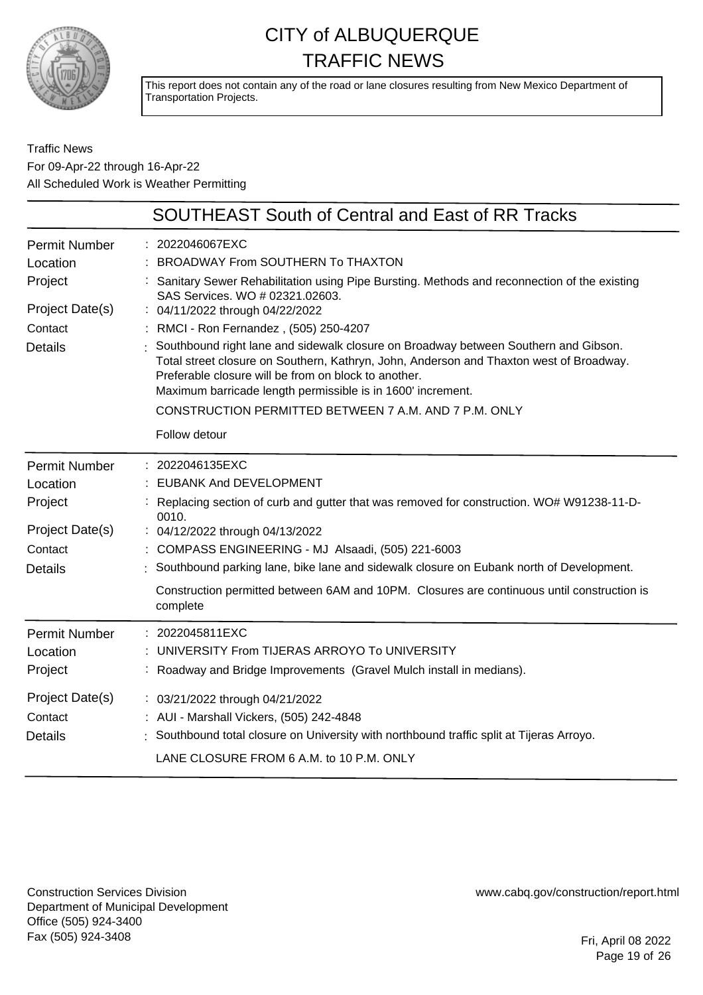

This report does not contain any of the road or lane closures resulting from New Mexico Department of Transportation Projects.

#### Traffic News For 09-Apr-22 through 16-Apr-22 All Scheduled Work is Weather Permitting

|                                  | <b>SOUTHEAST South of Central and East of RR Tracks</b>                                                                                                                                                                                                                                               |
|----------------------------------|-------------------------------------------------------------------------------------------------------------------------------------------------------------------------------------------------------------------------------------------------------------------------------------------------------|
| <b>Permit Number</b><br>Location | : 2022046067EXC<br>: BROADWAY From SOUTHERN To THAXTON                                                                                                                                                                                                                                                |
| Project<br>Project Date(s)       | : Sanitary Sewer Rehabilitation using Pipe Bursting. Methods and reconnection of the existing<br>SAS Services. WO # 02321.02603.<br>: 04/11/2022 through 04/22/2022                                                                                                                                   |
| Contact                          | : RMCI - Ron Fernandez, (505) 250-4207                                                                                                                                                                                                                                                                |
| <b>Details</b>                   | Southbound right lane and sidewalk closure on Broadway between Southern and Gibson.<br>Total street closure on Southern, Kathryn, John, Anderson and Thaxton west of Broadway.<br>Preferable closure will be from on block to another.<br>Maximum barricade length permissible is in 1600' increment. |
|                                  | CONSTRUCTION PERMITTED BETWEEN 7 A.M. AND 7 P.M. ONLY                                                                                                                                                                                                                                                 |
|                                  | Follow detour                                                                                                                                                                                                                                                                                         |
| <b>Permit Number</b>             | : 2022046135EXC                                                                                                                                                                                                                                                                                       |
| Location                         | : EUBANK And DEVELOPMENT                                                                                                                                                                                                                                                                              |
| Project                          | : Replacing section of curb and gutter that was removed for construction. WO# W91238-11-D-<br>0010.                                                                                                                                                                                                   |
| Project Date(s)                  | : 04/12/2022 through 04/13/2022                                                                                                                                                                                                                                                                       |
| Contact                          | : COMPASS ENGINEERING - MJ Alsaadi, (505) 221-6003                                                                                                                                                                                                                                                    |
| <b>Details</b>                   | Southbound parking lane, bike lane and sidewalk closure on Eubank north of Development.                                                                                                                                                                                                               |
|                                  | Construction permitted between 6AM and 10PM. Closures are continuous until construction is<br>complete                                                                                                                                                                                                |
| <b>Permit Number</b>             | : 2022045811EXC                                                                                                                                                                                                                                                                                       |
| Location                         | UNIVERSITY From TIJERAS ARROYO To UNIVERSITY                                                                                                                                                                                                                                                          |
| Project                          | : Roadway and Bridge Improvements (Gravel Mulch install in medians).                                                                                                                                                                                                                                  |
| Project Date(s)                  | : 03/21/2022 through 04/21/2022                                                                                                                                                                                                                                                                       |
| Contact                          | : AUI - Marshall Vickers, (505) 242-4848                                                                                                                                                                                                                                                              |
| <b>Details</b>                   | : Southbound total closure on University with northbound traffic split at Tijeras Arroyo.                                                                                                                                                                                                             |
|                                  | LANE CLOSURE FROM 6 A.M. to 10 P.M. ONLY                                                                                                                                                                                                                                                              |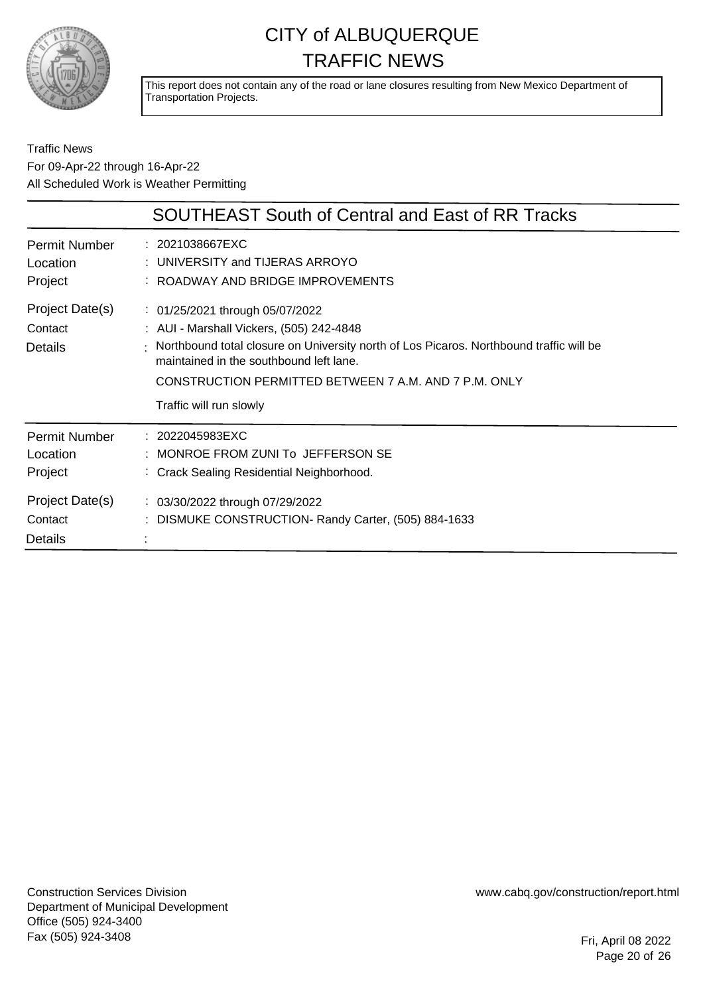

This report does not contain any of the road or lane closures resulting from New Mexico Department of Transportation Projects.

#### Traffic News For 09-Apr-22 through 16-Apr-22 All Scheduled Work is Weather Permitting

|                                                                           | <b>SOUTHEAST South of Central and East of RR Tracks</b>                                                                                                                                                                                                                                                 |
|---------------------------------------------------------------------------|---------------------------------------------------------------------------------------------------------------------------------------------------------------------------------------------------------------------------------------------------------------------------------------------------------|
| <b>Permit Number</b><br>Location<br>Project                               | : 2021038667EXC<br>: UNIVERSITY and TIJERAS ARROYO<br>: ROADWAY AND BRIDGE IMPROVEMENTS                                                                                                                                                                                                                 |
| Project Date(s)<br>Contact<br>Details                                     | : 01/25/2021 through 05/07/2022<br>: AUI - Marshall Vickers, (505) 242-4848<br>: Northbound total closure on University north of Los Picaros. Northbound traffic will be<br>maintained in the southbound left lane.<br>CONSTRUCTION PERMITTED BETWEEN 7 A.M. AND 7 P.M. ONLY<br>Traffic will run slowly |
| <b>Permit Number</b><br>Location<br>Project<br>Project Date(s)<br>Contact | : 2022045983EXC<br>: MONROE FROM ZUNI To JEFFERSON SE<br>: Crack Sealing Residential Neighborhood.<br>: 03/30/2022 through 07/29/2022<br>: DISMUKE CONSTRUCTION- Randy Carter, (505) 884-1633                                                                                                           |
| Details                                                                   |                                                                                                                                                                                                                                                                                                         |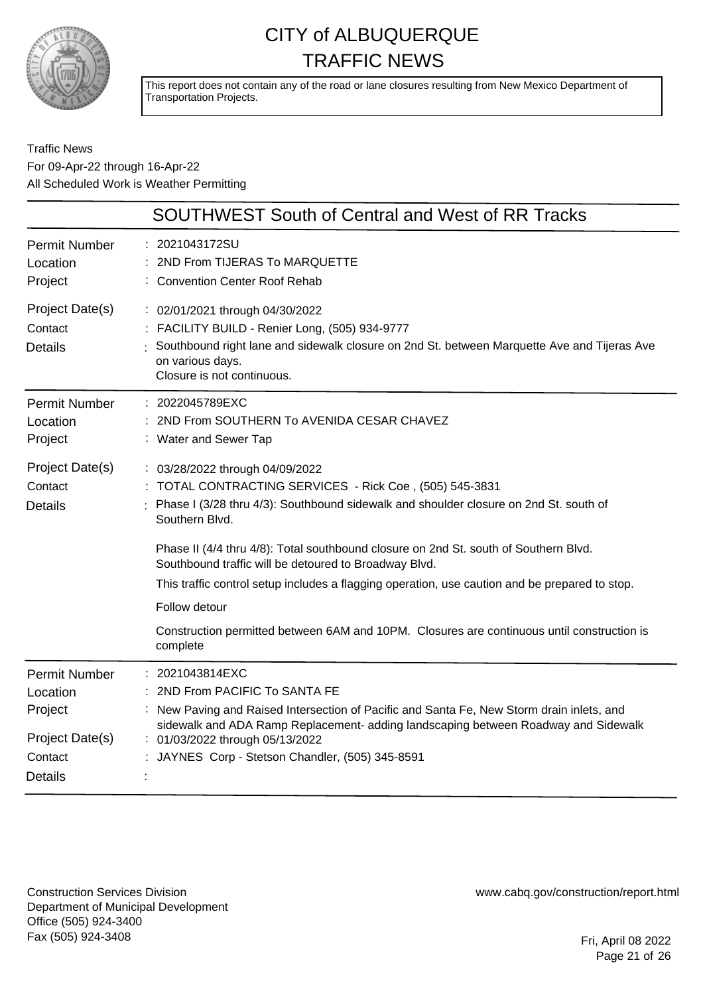

This report does not contain any of the road or lane closures resulting from New Mexico Department of Transportation Projects.

Traffic News For 09-Apr-22 through 16-Apr-22 All Scheduled Work is Weather Permitting

| <b>SOUTHWEST South of Central and West of RR Tracks</b>                                                                                                                                                                                                                                                                                                                                                                                                                                                                                                                             |
|-------------------------------------------------------------------------------------------------------------------------------------------------------------------------------------------------------------------------------------------------------------------------------------------------------------------------------------------------------------------------------------------------------------------------------------------------------------------------------------------------------------------------------------------------------------------------------------|
| 2021043172SU<br>2ND From TIJERAS To MARQUETTE<br><b>Convention Center Roof Rehab</b>                                                                                                                                                                                                                                                                                                                                                                                                                                                                                                |
| : 02/01/2021 through 04/30/2022<br>: FACILITY BUILD - Renier Long, (505) 934-9777<br>Southbound right lane and sidewalk closure on 2nd St. between Marquette Ave and Tijeras Ave<br>on various days.<br>Closure is not continuous.                                                                                                                                                                                                                                                                                                                                                  |
| : 2022045789EXC<br>2ND From SOUTHERN To AVENIDA CESAR CHAVEZ<br>: Water and Sewer Tap                                                                                                                                                                                                                                                                                                                                                                                                                                                                                               |
| : 03/28/2022 through 04/09/2022<br>: TOTAL CONTRACTING SERVICES - Rick Coe, (505) 545-3831<br>Phase I (3/28 thru 4/3): Southbound sidewalk and shoulder closure on 2nd St. south of<br>Southern Blvd.<br>Phase II (4/4 thru 4/8): Total southbound closure on 2nd St. south of Southern Blvd.<br>Southbound traffic will be detoured to Broadway Blvd.<br>This traffic control setup includes a flagging operation, use caution and be prepared to stop.<br>Follow detour<br>Construction permitted between 6AM and 10PM. Closures are continuous until construction is<br>complete |
| 2021043814EXC<br>2ND From PACIFIC To SANTA FE<br>New Paving and Raised Intersection of Pacific and Santa Fe, New Storm drain inlets, and<br>sidewalk and ADA Ramp Replacement- adding landscaping between Roadway and Sidewalk<br>: 01/03/2022 through 05/13/2022<br>JAYNES Corp - Stetson Chandler, (505) 345-8591                                                                                                                                                                                                                                                                 |
|                                                                                                                                                                                                                                                                                                                                                                                                                                                                                                                                                                                     |

Construction Services Division Department of Municipal Development Office (505) 924-3400 Fax (505) 924-3408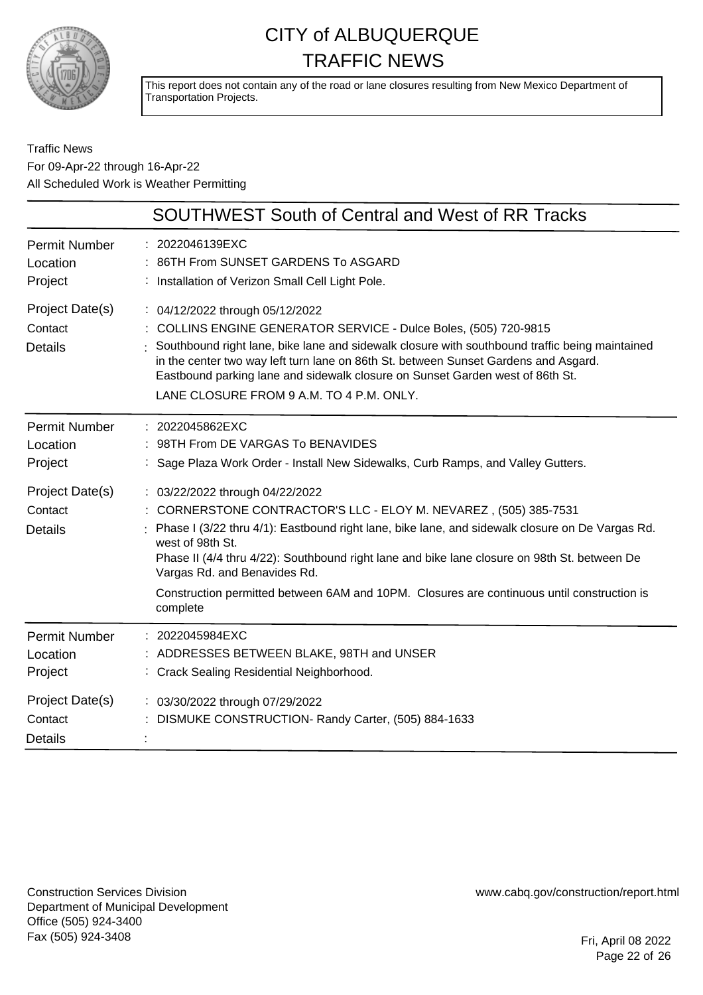

This report does not contain any of the road or lane closures resulting from New Mexico Department of Transportation Projects.

#### Traffic News For 09-Apr-22 through 16-Apr-22 All Scheduled Work is Weather Permitting

|                                              | <b>SOUTHWEST South of Central and West of RR Tracks</b>                                                                                                                                                                                                                                                                                                                                                                                                              |
|----------------------------------------------|----------------------------------------------------------------------------------------------------------------------------------------------------------------------------------------------------------------------------------------------------------------------------------------------------------------------------------------------------------------------------------------------------------------------------------------------------------------------|
| <b>Permit Number</b><br>Location<br>Project  | : 2022046139EXC<br>86TH From SUNSET GARDENS To ASGARD<br>Installation of Verizon Small Cell Light Pole.                                                                                                                                                                                                                                                                                                                                                              |
| Project Date(s)<br>Contact<br><b>Details</b> | : 04/12/2022 through 05/12/2022<br>: COLLINS ENGINE GENERATOR SERVICE - Dulce Boles, (505) 720-9815<br>: Southbound right lane, bike lane and sidewalk closure with southbound traffic being maintained<br>in the center two way left turn lane on 86th St. between Sunset Gardens and Asgard.<br>Eastbound parking lane and sidewalk closure on Sunset Garden west of 86th St.<br>LANE CLOSURE FROM 9 A.M. TO 4 P.M. ONLY.                                          |
| <b>Permit Number</b><br>Location<br>Project  | : 2022045862EXC<br>: 98TH From DE VARGAS To BENAVIDES<br>Sage Plaza Work Order - Install New Sidewalks, Curb Ramps, and Valley Gutters.                                                                                                                                                                                                                                                                                                                              |
| Project Date(s)<br>Contact<br><b>Details</b> | : 03/22/2022 through 04/22/2022<br>: CORNERSTONE CONTRACTOR'S LLC - ELOY M. NEVAREZ, (505) 385-7531<br>Phase I (3/22 thru 4/1): Eastbound right lane, bike lane, and sidewalk closure on De Vargas Rd.<br>west of 98th St.<br>Phase II (4/4 thru 4/22): Southbound right lane and bike lane closure on 98th St. between De<br>Vargas Rd. and Benavides Rd.<br>Construction permitted between 6AM and 10PM. Closures are continuous until construction is<br>complete |
| <b>Permit Number</b><br>Location<br>Project  | 2022045984EXC<br>: ADDRESSES BETWEEN BLAKE, 98TH and UNSER<br>: Crack Sealing Residential Neighborhood.                                                                                                                                                                                                                                                                                                                                                              |
| Project Date(s)<br>Contact<br><b>Details</b> | : 03/30/2022 through 07/29/2022<br>DISMUKE CONSTRUCTION- Randy Carter, (505) 884-1633                                                                                                                                                                                                                                                                                                                                                                                |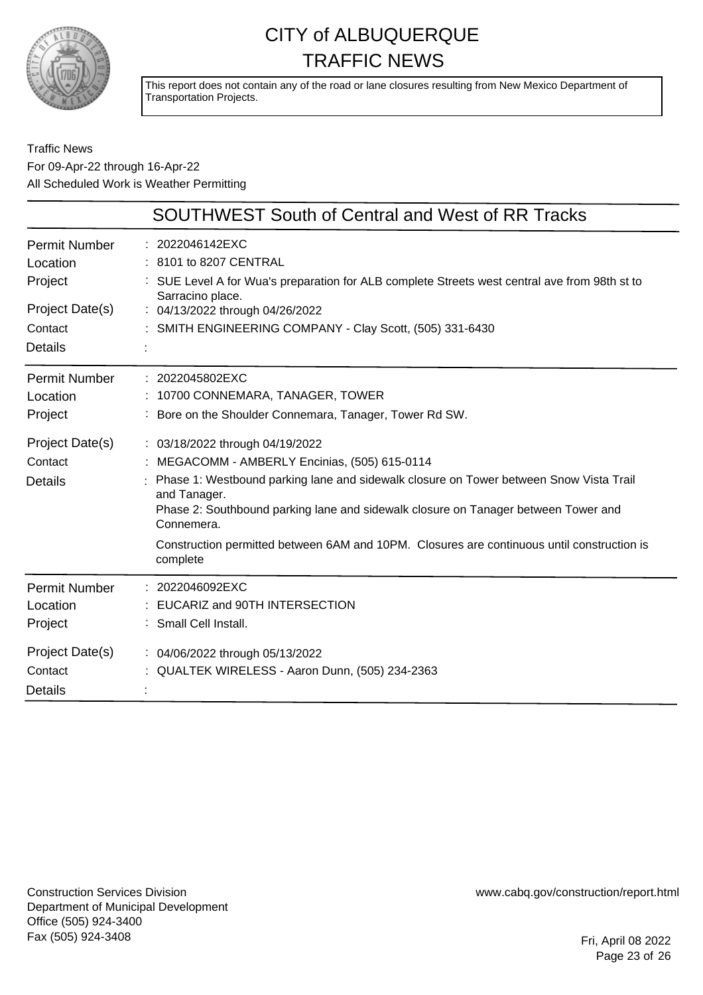

This report does not contain any of the road or lane closures resulting from New Mexico Department of Transportation Projects.

#### Traffic News For 09-Apr-22 through 16-Apr-22 All Scheduled Work is Weather Permitting

|                                  | <b>SOUTHWEST South of Central and West of RR Tracks</b>                                                           |
|----------------------------------|-------------------------------------------------------------------------------------------------------------------|
| <b>Permit Number</b><br>Location | : 2022046142EXC<br>: 8101 to 8207 CENTRAL                                                                         |
| Project                          | : SUE Level A for Wua's preparation for ALB complete Streets west central ave from 98th st to<br>Sarracino place. |
| Project Date(s)                  | : 04/13/2022 through 04/26/2022                                                                                   |
| Contact                          | : SMITH ENGINEERING COMPANY - Clay Scott, (505) 331-6430                                                          |
| <b>Details</b>                   |                                                                                                                   |
| <b>Permit Number</b>             | : 2022045802EXC                                                                                                   |
| Location                         | : 10700 CONNEMARA, TANAGER, TOWER                                                                                 |
| Project                          | : Bore on the Shoulder Connemara, Tanager, Tower Rd SW.                                                           |
| Project Date(s)                  | : 03/18/2022 through 04/19/2022                                                                                   |
| Contact                          | : MEGACOMM - AMBERLY Encinias, (505) 615-0114                                                                     |
| <b>Details</b>                   | Phase 1: Westbound parking lane and sidewalk closure on Tower between Snow Vista Trail<br>and Tanager.            |
|                                  | Phase 2: Southbound parking lane and sidewalk closure on Tanager between Tower and<br>Connemera.                  |
|                                  | Construction permitted between 6AM and 10PM. Closures are continuous until construction is<br>complete            |
| <b>Permit Number</b>             | : 2022046092EXC                                                                                                   |
| Location                         | EUCARIZ and 90TH INTERSECTION                                                                                     |
| Project                          | : Small Cell Install.                                                                                             |
| Project Date(s)                  | : 04/06/2022 through 05/13/2022                                                                                   |
| Contact                          | QUALTEK WIRELESS - Aaron Dunn, (505) 234-2363                                                                     |
| <b>Details</b>                   |                                                                                                                   |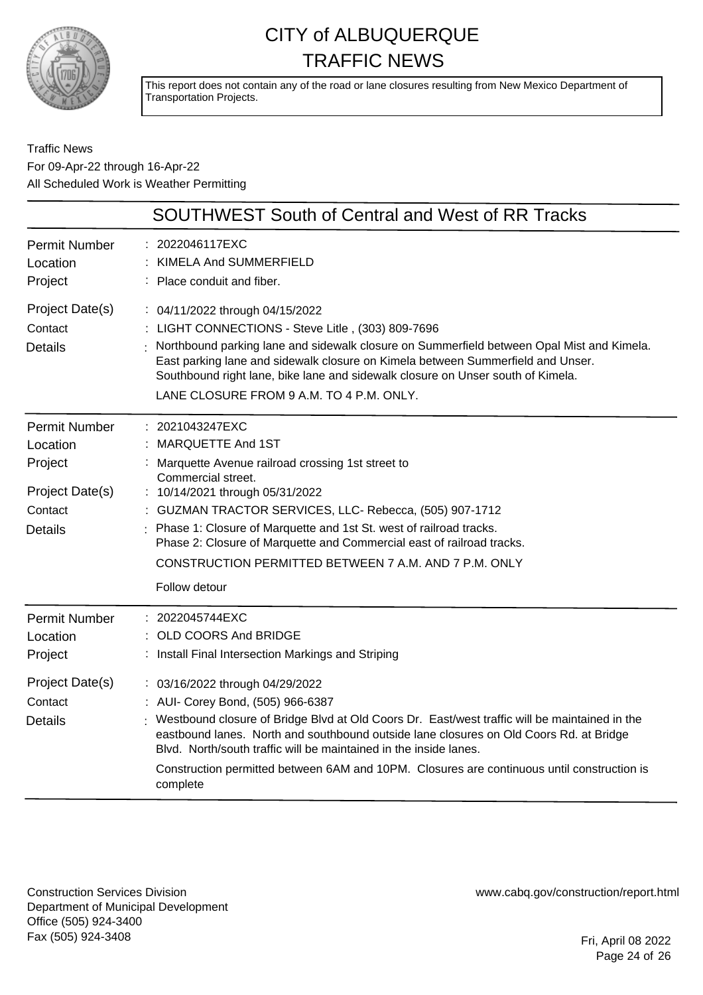

This report does not contain any of the road or lane closures resulting from New Mexico Department of Transportation Projects.

Traffic News For 09-Apr-22 through 16-Apr-22 All Scheduled Work is Weather Permitting

|                                                                                             | <b>SOUTHWEST South of Central and West of RR Tracks</b>                                                                                                                                                                                                                                                                                                                                                                                                                                                                                       |
|---------------------------------------------------------------------------------------------|-----------------------------------------------------------------------------------------------------------------------------------------------------------------------------------------------------------------------------------------------------------------------------------------------------------------------------------------------------------------------------------------------------------------------------------------------------------------------------------------------------------------------------------------------|
| <b>Permit Number</b><br>Location<br>Project                                                 | 2022046117EXC<br>KIMELA And SUMMERFIELD<br>Place conduit and fiber.                                                                                                                                                                                                                                                                                                                                                                                                                                                                           |
| Project Date(s)<br>Contact<br><b>Details</b>                                                | : 04/11/2022 through 04/15/2022<br>: LIGHT CONNECTIONS - Steve Litle, (303) 809-7696<br>Northbound parking lane and sidewalk closure on Summerfield between Opal Mist and Kimela.<br>East parking lane and sidewalk closure on Kimela between Summerfield and Unser.<br>Southbound right lane, bike lane and sidewalk closure on Unser south of Kimela.<br>LANE CLOSURE FROM 9 A.M. TO 4 P.M. ONLY.                                                                                                                                           |
| <b>Permit Number</b><br>Location<br>Project<br>Project Date(s)<br>Contact<br><b>Details</b> | 2021043247EXC<br>MARQUETTE And 1ST<br>Marquette Avenue railroad crossing 1st street to<br>Commercial street.<br>10/14/2021 through 05/31/2022<br>: GUZMAN TRACTOR SERVICES, LLC- Rebecca, (505) 907-1712<br>Phase 1: Closure of Marquette and 1st St. west of railroad tracks.<br>Phase 2: Closure of Marquette and Commercial east of railroad tracks.<br>CONSTRUCTION PERMITTED BETWEEN 7 A.M. AND 7 P.M. ONLY<br>Follow detour                                                                                                             |
| <b>Permit Number</b><br>Location<br>Project<br>Project Date(s)<br>Contact<br><b>Details</b> | : 2022045744EXC<br>OLD COORS And BRIDGE<br>Install Final Intersection Markings and Striping<br>: 03/16/2022 through 04/29/2022<br>: AUI- Corey Bond, (505) 966-6387<br>Westbound closure of Bridge Blvd at Old Coors Dr. East/west traffic will be maintained in the<br>eastbound lanes. North and southbound outside lane closures on Old Coors Rd. at Bridge<br>Blvd. North/south traffic will be maintained in the inside lanes.<br>Construction permitted between 6AM and 10PM. Closures are continuous until construction is<br>complete |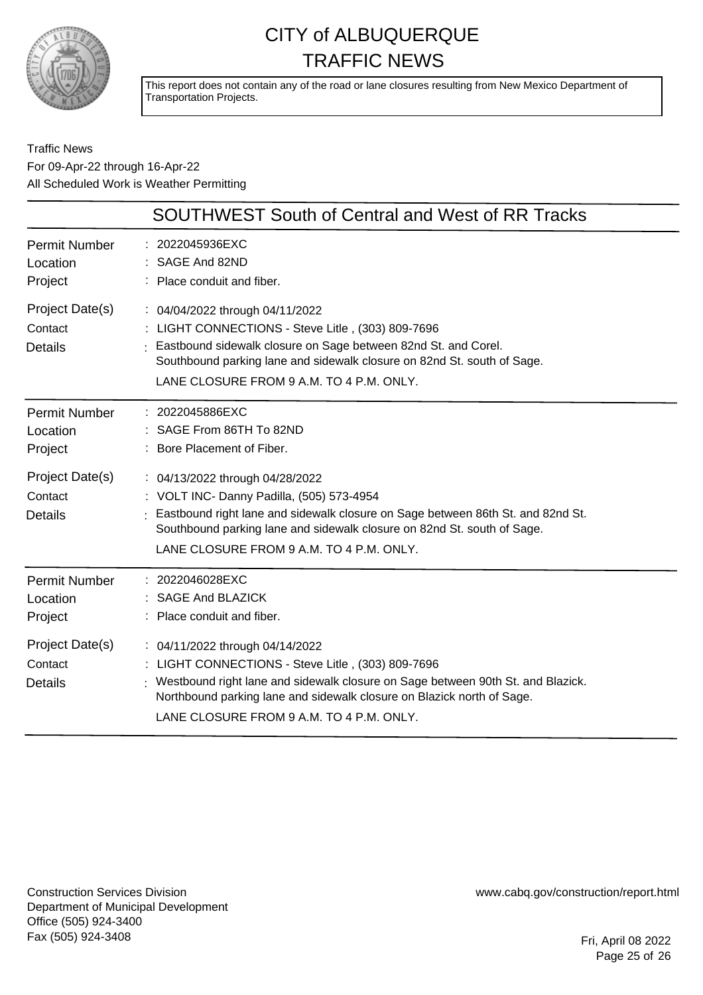

This report does not contain any of the road or lane closures resulting from New Mexico Department of Transportation Projects.

#### Traffic News For 09-Apr-22 through 16-Apr-22 All Scheduled Work is Weather Permitting

|                                              | <b>SOUTHWEST South of Central and West of RR Tracks</b>                                                                                                                                                                                                                                         |
|----------------------------------------------|-------------------------------------------------------------------------------------------------------------------------------------------------------------------------------------------------------------------------------------------------------------------------------------------------|
| <b>Permit Number</b><br>Location<br>Project  | : 2022045936EXC<br>SAGE And 82ND<br>: Place conduit and fiber.                                                                                                                                                                                                                                  |
| Project Date(s)<br>Contact<br><b>Details</b> | : 04/04/2022 through 04/11/2022<br>: LIGHT CONNECTIONS - Steve Litle, (303) 809-7696<br>Eastbound sidewalk closure on Sage between 82nd St. and Corel.<br>Southbound parking lane and sidewalk closure on 82nd St. south of Sage.<br>LANE CLOSURE FROM 9 A.M. TO 4 P.M. ONLY.                   |
| <b>Permit Number</b><br>Location<br>Project  | : 2022045886EXC<br>: SAGE From 86TH To 82ND<br>: Bore Placement of Fiber.                                                                                                                                                                                                                       |
| Project Date(s)<br>Contact<br><b>Details</b> | : 04/13/2022 through 04/28/2022<br>: VOLT INC- Danny Padilla, (505) 573-4954<br>Eastbound right lane and sidewalk closure on Sage between 86th St. and 82nd St.<br>Southbound parking lane and sidewalk closure on 82nd St. south of Sage.<br>LANE CLOSURE FROM 9 A.M. TO 4 P.M. ONLY.          |
| <b>Permit Number</b><br>Location<br>Project  | : 2022046028EXC<br>: SAGE And BLAZICK<br>: Place conduit and fiber.                                                                                                                                                                                                                             |
| Project Date(s)<br>Contact<br><b>Details</b> | : 04/11/2022 through 04/14/2022<br>: LIGHT CONNECTIONS - Steve Litle, (303) 809-7696<br>: Westbound right lane and sidewalk closure on Sage between 90th St. and Blazick.<br>Northbound parking lane and sidewalk closure on Blazick north of Sage.<br>LANE CLOSURE FROM 9 A.M. TO 4 P.M. ONLY. |